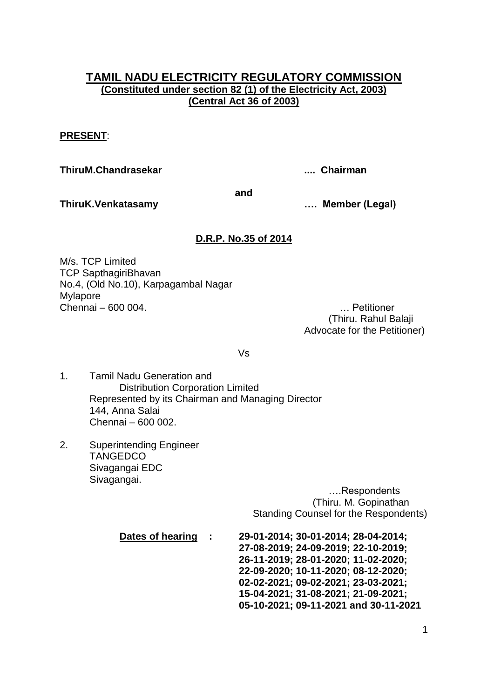# **TAMIL NADU ELECTRICITY REGULATORY COMMISSION (Constituted under section 82 (1) of the Electricity Act, 2003) (Central Act 36 of 2003)**

# **PRESENT**:

**ThiruM.Chandrasekar .... Chairman**

**and**

**ThiruK.Venkatasamy …. Member (Legal)**

# **D.R.P. No.35 of 2014**

M/s. TCP Limited TCP SapthagiriBhavan No.4, (Old No.10), Karpagambal Nagar Mylapore Chennai – 600 004. … Petitioner

(Thiru. Rahul Balaji Advocate for the Petitioner)

Vs

- 1. Tamil Nadu Generation and Distribution Corporation Limited Represented by its Chairman and Managing Director 144, Anna Salai Chennai – 600 002.
- 2. Superintending Engineer **TANGEDCO** Sivagangai EDC Sivagangai.

….Respondents (Thiru. M. Gopinathan Standing Counsel for the Respondents)

**Dates of hearing : 29-01-2014; 30-01-2014; 28-04-2014; 27-08-2019; 24-09-2019; 22-10-2019; 26-11-2019; 28-01-2020; 11-02-2020; 22-09-2020; 10-11-2020; 08-12-2020; 02-02-2021; 09-02-2021; 23-03-2021; 15-04-2021; 31-08-2021; 21-09-2021; 05-10-2021; 09-11-2021 and 30-11-2021**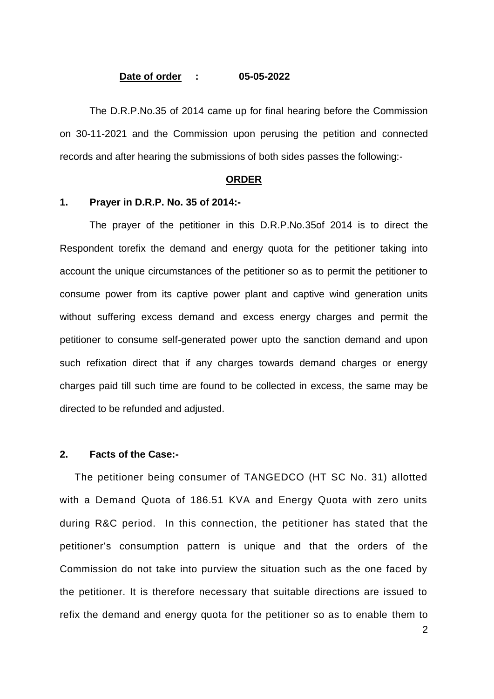#### **Date of order : 05-05-2022**

The D.R.P.No.35 of 2014 came up for final hearing before the Commission on 30-11-2021 and the Commission upon perusing the petition and connected records and after hearing the submissions of both sides passes the following:-

#### **ORDER**

### **1. Prayer in D.R.P. No. 35 of 2014:-**

The prayer of the petitioner in this D.R.P.No.35of 2014 is to direct the Respondent torefix the demand and energy quota for the petitioner taking into account the unique circumstances of the petitioner so as to permit the petitioner to consume power from its captive power plant and captive wind generation units without suffering excess demand and excess energy charges and permit the petitioner to consume self-generated power upto the sanction demand and upon such refixation direct that if any charges towards demand charges or energy charges paid till such time are found to be collected in excess, the same may be directed to be refunded and adjusted.

### **2. Facts of the Case:-**

The petitioner being consumer of TANGEDCO (HT SC No. 31) allotted with a Demand Quota of 186.51 KVA and Energy Quota with zero units during R&C period. In this connection, the petitioner has stated that the petitioner"s consumption pattern is unique and that the orders of the Commission do not take into purview the situation such as the one faced by the petitioner. It is therefore necessary that suitable directions are issued to refix the demand and energy quota for the petitioner so as to enable them to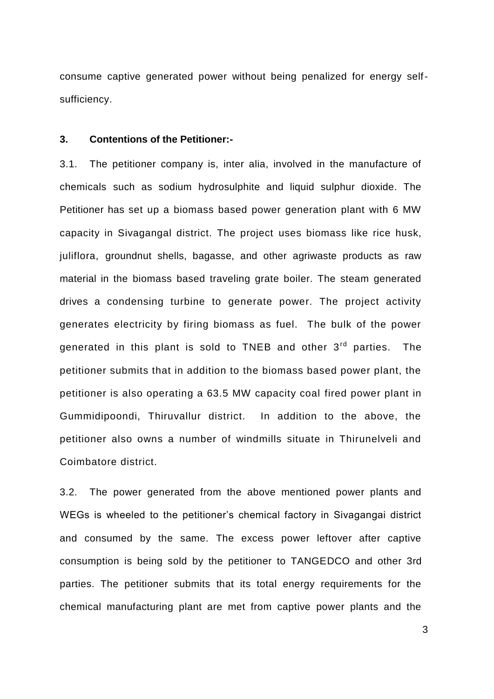consume captive generated power without being penalized for energy selfsufficiency.

#### **3. Contentions of the Petitioner:-**

3.1. The petitioner company is, inter alia, involved in the manufacture of chemicals such as sodium hydrosulphite and liquid sulphur dioxide. The Petitioner has set up a biomass based power generation plant with 6 MW capacity in Sivagangal district. The project uses biomass like rice husk, juliflora, groundnut shells, bagasse, and other agriwaste products as raw material in the biomass based traveling grate boiler. The steam generated drives a condensing turbine to generate power. The project activity generates electricity by firing biomass as fuel. The bulk of the power generated in this plant is sold to TNEB and other  $3<sup>rd</sup>$  parties. The petitioner submits that in addition to the biomass based power plant, the petitioner is also operating a 63.5 MW capacity coal fired power plant in Gummidipoondi, Thiruvallur district. In addition to the above, the petitioner also owns a number of windmills situate in Thirunelveli and Coimbatore district.

3.2. The power generated from the above mentioned power plants and WEGs is wheeled to the petitioner's chemical factory in Sivagangai district and consumed by the same. The excess power leftover after captive consumption is being sold by the petitioner to TANGEDCO and other 3rd parties. The petitioner submits that its total energy requirements for the chemical manufacturing plant are met from captive power plants and the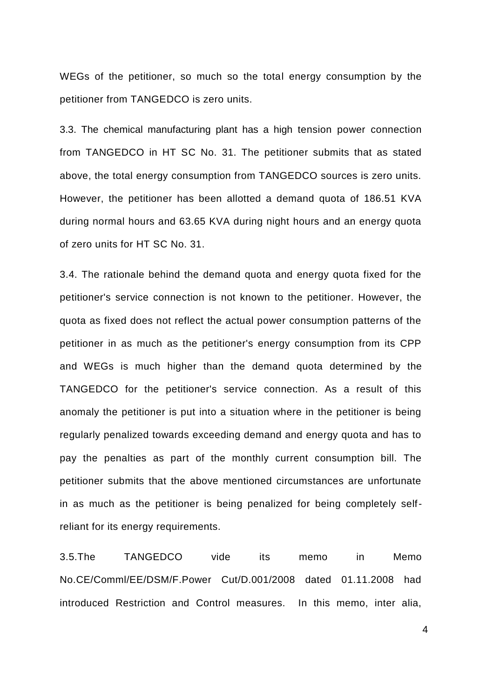WEGs of the petitioner, so much so the total energy consumption by the petitioner from TANGEDCO is zero units.

3.3. The chemical manufacturing plant has a high tension power connection from TANGEDCO in HT SC No. 31. The petitioner submits that as stated above, the total energy consumption from TANGEDCO sources is zero units. However, the petitioner has been allotted a demand quota of 186.51 KVA during normal hours and 63.65 KVA during night hours and an energy quota of zero units for HT SC No. 31.

3.4. The rationale behind the demand quota and energy quota fixed for the petitioner's service connection is not known to the petitioner. However, the quota as fixed does not reflect the actual power consumption patterns of the petitioner in as much as the petitioner's energy consumption from its CPP and WEGs is much higher than the demand quota determined by the TANGEDCO for the petitioner's service connection. As a result of this anomaly the petitioner is put into a situation where in the petitioner is being regularly penalized towards exceeding demand and energy quota and has to pay the penalties as part of the monthly current consumption bill. The petitioner submits that the above mentioned circumstances are unfortunate in as much as the petitioner is being penalized for being completely selfreliant for its energy requirements.

3.5.The TANGEDCO vide its memo in Memo No.CE/Comml/EE/DSM/F.Power Cut/D.001/2008 dated 01.11.2008 had introduced Restriction and Control measures. In this memo, inter alia,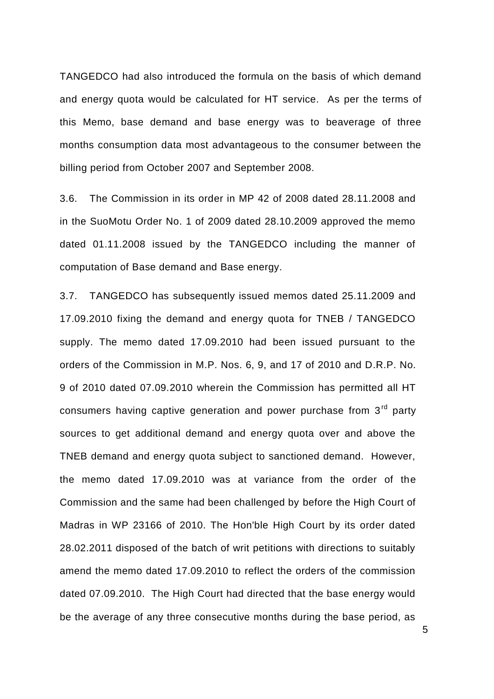TANGEDCO had also introduced the formula on the basis of which demand and energy quota would be calculated for HT service. As per the terms of this Memo, base demand and base energy was to beaverage of three months consumption data most advantageous to the consumer between the billing period from October 2007 and September 2008.

3.6. The Commission in its order in MP 42 of 2008 dated 28.11.2008 and in the SuoMotu Order No. 1 of 2009 dated 28.10.2009 approved the memo dated 01.11.2008 issued by the TANGEDCO including the manner of computation of Base demand and Base energy.

3.7. TANGEDCO has subsequently issued memos dated 25.11.2009 and 17.09.2010 fixing the demand and energy quota for TNEB / TANGEDCO supply. The memo dated 17.09.2010 had been issued pursuant to the orders of the Commission in M.P. Nos. 6, 9, and 17 of 2010 and D.R.P. No. 9 of 2010 dated 07.09.2010 wherein the Commission has permitted all HT consumers having captive generation and power purchase from 3<sup>rd</sup> party sources to get additional demand and energy quota over and above the TNEB demand and energy quota subject to sanctioned demand. However, the memo dated 17.09.2010 was at variance from the order of the Commission and the same had been challenged by before the High Court of Madras in WP 23166 of 2010. The Hon'ble High Court by its order dated 28.02.2011 disposed of the batch of writ petitions with directions to suitably amend the memo dated 17.09.2010 to reflect the orders of the commission dated 07.09.2010. The High Court had directed that the base energy would be the average of any three consecutive months during the base period, as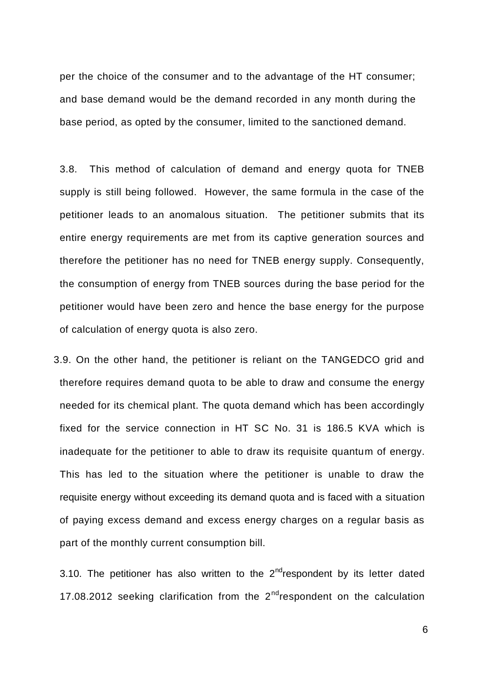per the choice of the consumer and to the advantage of the HT consumer; and base demand would be the demand recorded in any month during the base period, as opted by the consumer, limited to the sanctioned demand.

3.8. This method of calculation of demand and energy quota for TNEB supply is still being followed. However, the same formula in the case of the petitioner leads to an anomalous situation. The petitioner submits that its entire energy requirements are met from its captive generation sources and therefore the petitioner has no need for TNEB energy supply. Consequently, the consumption of energy from TNEB sources during the base period for the petitioner would have been zero and hence the base energy for the purpose of calculation of energy quota is also zero.

3.9. On the other hand, the petitioner is reliant on the TANGEDCO grid and therefore requires demand quota to be able to draw and consume the energy needed for its chemical plant. The quota demand which has been accordingly fixed for the service connection in HT SC No. 31 is 186.5 KVA which is inadequate for the petitioner to able to draw its requisite quantum of energy. This has led to the situation where the petitioner is unable to draw the requisite energy without exceeding its demand quota and is faced with a situation of paying excess demand and excess energy charges on a regular basis as part of the monthly current consumption bill.

3.10. The petitioner has also written to the  $2^{nd}$ respondent by its letter dated 17.08.2012 seeking clarification from the  $2^{nd}$ respondent on the calculation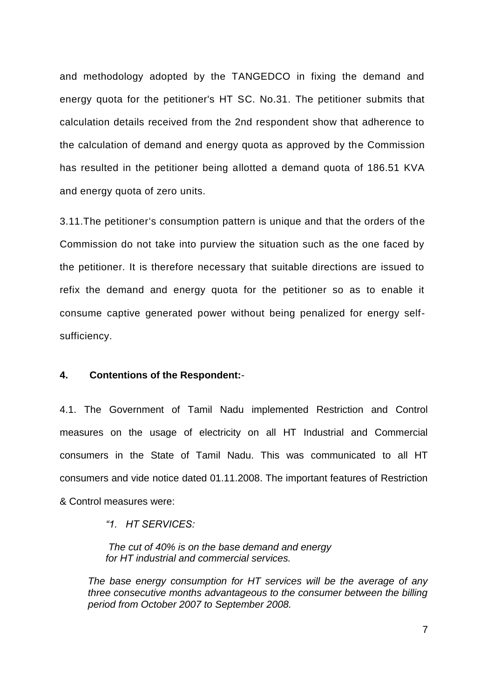and methodology adopted by the TANGEDCO in fixing the demand and energy quota for the petitioner's HT SC. No.31. The petitioner submits that calculation details received from the 2nd respondent show that adherence to the calculation of demand and energy quota as approved by the Commission has resulted in the petitioner being allotted a demand quota of 186.51 KVA and energy quota of zero units.

3.11.The petitioner"s consumption pattern is unique and that the orders of the Commission do not take into purview the situation such as the one faced by the petitioner. It is therefore necessary that suitable directions are issued to refix the demand and energy quota for the petitioner so as to enable it consume captive generated power without being penalized for energy selfsufficiency.

### **4. Contentions of the Respondent:**-

4.1. The Government of Tamil Nadu implemented Restriction and Control measures on the usage of electricity on all HT Industrial and Commercial consumers in the State of Tamil Nadu. This was communicated to all HT consumers and vide notice dated 01.11.2008. The important features of Restriction & Control measures were:

*"1. HT SERVICES:*

*The cut of 40% is on the base demand and energy for HT industrial and commercial services.* 

*The base energy consumption for HT services will be the average of any three consecutive months advantageous to the consumer between the billing period from October 2007 to September 2008.*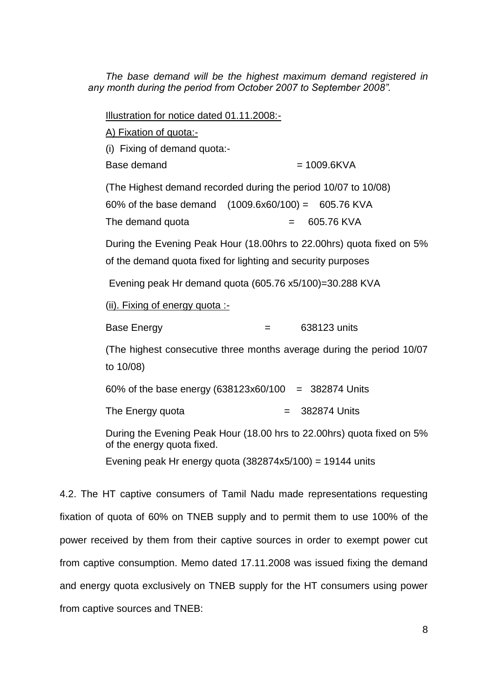*The base demand will be the highest maximum demand registered in any month during the period from October 2007 to September 2008".* 

Illustration for notice dated 01.11.2008:- A) Fixation of quota:- (i) Fixing of demand quota:- Base demand  $= 1009.6KVA$ (The Highest demand recorded during the period 10/07 to 10/08) 60% of the base demand (1009.6x60/100) = 605.76 KVA The demand quota  $= 605.76$  KVA During the Evening Peak Hour (18.00hrs to 22.00hrs) quota fixed on 5% of the demand quota fixed for lighting and security purposes Evening peak Hr demand quota (605.76 x5/100)=30.288 KVA (ii). Fixing of energy quota :- Base Energy  $=$  638123 units (The highest consecutive three months average during the period 10/07 to 10/08) 60% of the base energy  $(638123x60/100 = 382874$  Units The Energy quota  $= 382874$  Units During the Evening Peak Hour (18.00 hrs to 22.00hrs) quota fixed on 5% of the energy quota fixed.

Evening peak Hr energy quota  $(382874x5/100) = 19144$  units

4.2. The HT captive consumers of Tamil Nadu made representations requesting fixation of quota of 60% on TNEB supply and to permit them to use 100% of the power received by them from their captive sources in order to exempt power cut from captive consumption. Memo dated 17.11.2008 was issued fixing the demand and energy quota exclusively on TNEB supply for the HT consumers using power from captive sources and TNEB: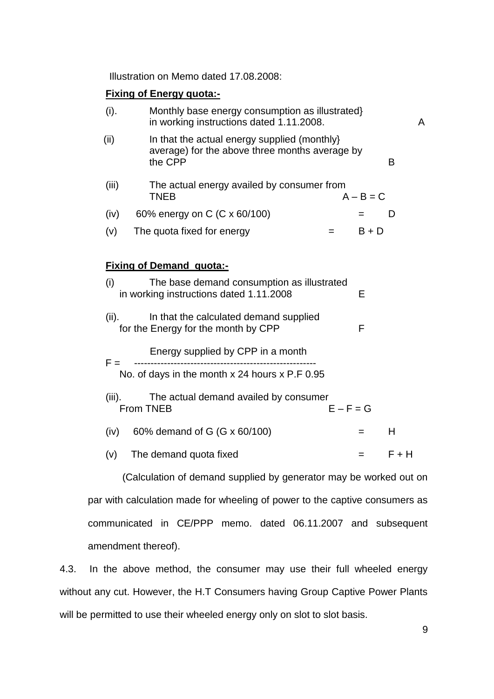Illustration on Memo dated 17.08.2008:

# **Fixing of Energy quota:-**

| (i).      | Monthly base energy consumption as illustrated}<br>in working instructions dated 1.11.2008.               |             | A     |  |
|-----------|-----------------------------------------------------------------------------------------------------------|-------------|-------|--|
| (ii)      | In that the actual energy supplied (monthly)<br>average) for the above three months average by<br>the CPP |             | B     |  |
| (iii)     | The actual energy availed by consumer from<br><b>TNEB</b>                                                 | $A - B = C$ |       |  |
| (iv)      | 60% energy on C (C x 60/100)                                                                              |             | D     |  |
| (v)       | The quota fixed for energy<br>$=$ $-$                                                                     | $B + D$     |       |  |
|           |                                                                                                           |             |       |  |
|           | <b>Fixing of Demand quota:-</b>                                                                           |             |       |  |
| (i)       | The base demand consumption as illustrated<br>in working instructions dated 1.11.2008                     | E           |       |  |
| (ii).     | In that the calculated demand supplied<br>for the Energy for the month by CPP                             | F           |       |  |
| $F =$     | Energy supplied by CPP in a month                                                                         |             |       |  |
|           | No. of days in the month x 24 hours x P.F 0.95                                                            |             |       |  |
| $(iii)$ . | The actual demand availed by consumer<br>$E - F = G$<br>From TNEB                                         |             |       |  |
| (iv)      | 60% demand of G (G x 60/100)                                                                              | $=$         | H     |  |
| (v)       | The demand quota fixed                                                                                    | $=$         | F + H |  |
|           |                                                                                                           |             |       |  |

 (Calculation of demand supplied by generator may be worked out on par with calculation made for wheeling of power to the captive consumers as communicated in CE/PPP memo. dated 06.11.2007 and subsequent amendment thereof).

4.3. In the above method, the consumer may use their full wheeled energy without any cut. However, the H.T Consumers having Group Captive Power Plants will be permitted to use their wheeled energy only on slot to slot basis.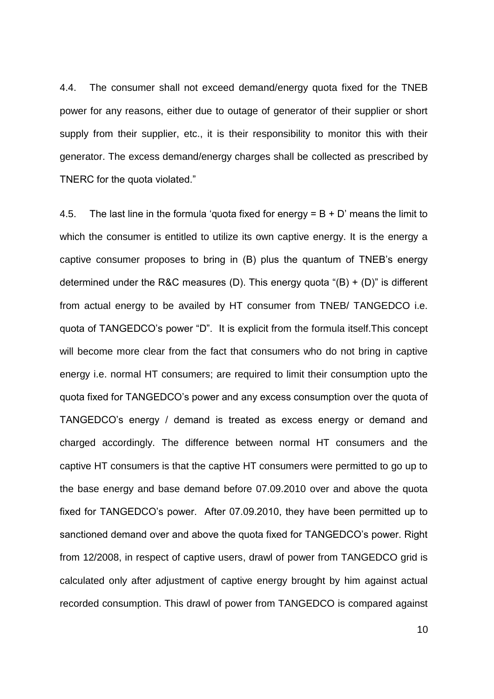4.4. The consumer shall not exceed demand/energy quota fixed for the TNEB power for any reasons, either due to outage of generator of their supplier or short supply from their supplier, etc., it is their responsibility to monitor this with their generator. The excess demand/energy charges shall be collected as prescribed by TNERC for the quota violated."

4.5. The last line in the formula 'quota fixed for energy  $= B + D'$  means the limit to which the consumer is entitled to utilize its own captive energy. It is the energy a captive consumer proposes to bring in (B) plus the quantum of TNEB"s energy determined under the R&C measures (D). This energy quota " $(B) + (D)$ " is different from actual energy to be availed by HT consumer from TNEB/ TANGEDCO i.e. quota of TANGEDCO"s power "D". It is explicit from the formula itself.This concept will become more clear from the fact that consumers who do not bring in captive energy i.e. normal HT consumers; are required to limit their consumption upto the quota fixed for TANGEDCO"s power and any excess consumption over the quota of TANGEDCO"s energy / demand is treated as excess energy or demand and charged accordingly. The difference between normal HT consumers and the captive HT consumers is that the captive HT consumers were permitted to go up to the base energy and base demand before 07.09.2010 over and above the quota fixed for TANGEDCO"s power. After 07.09.2010, they have been permitted up to sanctioned demand over and above the quota fixed for TANGEDCO"s power. Right from 12/2008, in respect of captive users, drawl of power from TANGEDCO grid is calculated only after adjustment of captive energy brought by him against actual recorded consumption. This drawl of power from TANGEDCO is compared against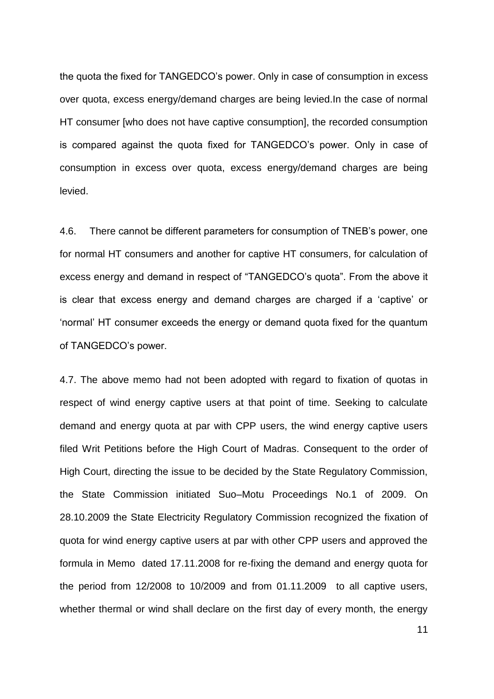the quota the fixed for TANGEDCO"s power. Only in case of consumption in excess over quota, excess energy/demand charges are being levied.In the case of normal HT consumer [who does not have captive consumption], the recorded consumption is compared against the quota fixed for TANGEDCO"s power. Only in case of consumption in excess over quota, excess energy/demand charges are being levied.

4.6. There cannot be different parameters for consumption of TNEB"s power, one for normal HT consumers and another for captive HT consumers, for calculation of excess energy and demand in respect of "TANGEDCO"s quota". From the above it is clear that excess energy and demand charges are charged if a "captive" or "normal" HT consumer exceeds the energy or demand quota fixed for the quantum of TANGEDCO"s power.

4.7. The above memo had not been adopted with regard to fixation of quotas in respect of wind energy captive users at that point of time. Seeking to calculate demand and energy quota at par with CPP users, the wind energy captive users filed Writ Petitions before the High Court of Madras. Consequent to the order of High Court, directing the issue to be decided by the State Regulatory Commission, the State Commission initiated Suo–Motu Proceedings No.1 of 2009. On 28.10.2009 the State Electricity Regulatory Commission recognized the fixation of quota for wind energy captive users at par with other CPP users and approved the formula in Memo dated 17.11.2008 for re-fixing the demand and energy quota for the period from 12/2008 to 10/2009 and from 01.11.2009 to all captive users, whether thermal or wind shall declare on the first day of every month, the energy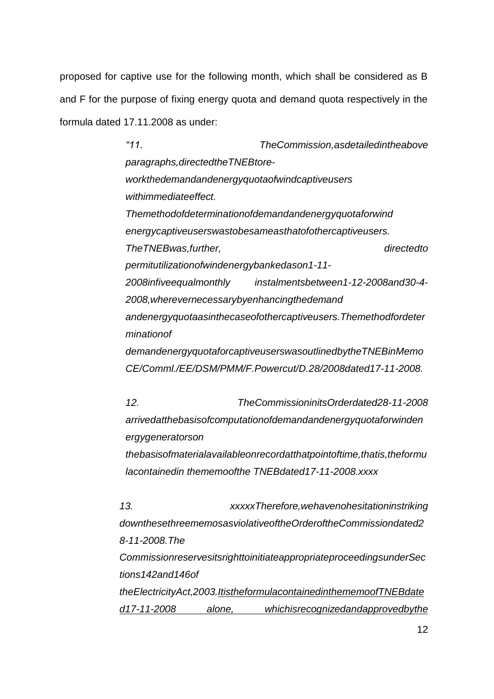proposed for captive use for the following month, which shall be considered as B and F for the purpose of fixing energy quota and demand quota respectively in the formula dated 17.11.2008 as under:

> *"11. TheCommission,asdetailedintheabove paragraphs,directedtheTNEBtoreworkthedemandandenergyquotaofwindcaptiveusers withimmediateeffect. Themethodofdeterminationofdemandandenergyquotaforwind energycaptiveuserswastobesameasthatofothercaptiveusers. TheTNEBwas,further, directedto permitutilizationofwindenergybankedason1-11- 2008infiveequalmonthly instalmentsbetween1-12-2008and30-4- 2008,wherevernecessarybyenhancingthedemand andenergyquotaasinthecaseofothercaptiveusers.Themethodfordeter minationof demandenergyquotaforcaptiveuserswasoutlinedbytheTNEBinMemo CE/Comml./EE/DSM/PMM/F.Powercut/D.28/2008dated17-11-2008.*

> *12. TheCommissioninitsOrderdated28-11-2008 arrivedatthebasisofcomputationofdemandandenergyquotaforwinden ergygeneratorson thebasisofmaterialavailableonrecordatthatpointoftime,thatis,theformu lacontainedin thememoofthe TNEBdated17-11-2008.xxxx*

*13. xxxxxTherefore,wehavenohesitationinstriking downthesethreememosasviolativeoftheOrderoftheCommissiondated2 8-11-2008.The CommissionreservesitsrighttoinitiateappropriateproceedingsunderSec tions142and146of theElectricityAct,2003.ItistheformulacontainedinthememoofTNEBdate d17-11-2008 alone, whichisrecognizedandapprovedbythe*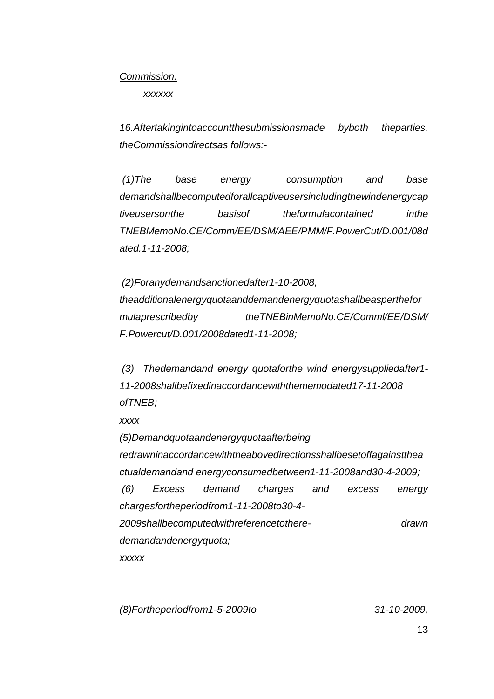### *Commission.*

*xxxxxx*

*16.Aftertakingintoaccountthesubmissionsmade byboth theparties, theCommissiondirectsas follows:-*

*(1)The base energy consumption and base demandshallbecomputedforallcaptiveusersincludingthewindenergycap tiveusersonthe basisof theformulacontained inthe TNEBMemoNo.CE/Comm/EE/DSM/AEE/PMM/F.PowerCut/D.001/08d ated.1-11-2008;*

*(2)Foranydemandsanctionedafter1-10-2008, theadditionalenergyquotaanddemandenergyquotashallbeasperthefor mulaprescribedby theTNEBinMemoNo.CE/Comml/EE/DSM/ F.Powercut/D.001/2008dated1-11-2008;*

*(3) Thedemandand energy quotaforthe wind energysuppliedafter1- 11-2008shallbefixedinaccordancewiththememodated17-11-2008 ofTNEB;*

*xxxx*

*(5)Demandquotaandenergyquotaafterbeing redrawninaccordancewiththeabovedirectionsshallbesetoffagainstthea ctualdemandand energyconsumedbetween1-11-2008and30-4-2009; (6) Excess demand charges and excess energy chargesfortheperiodfrom1-11-2008to30-4- 2009shallbecomputedwithreferencetothere- drawn demandandenergyquota; xxxxx*

*(8)Fortheperiodfrom1-5-2009to 31-10-2009,*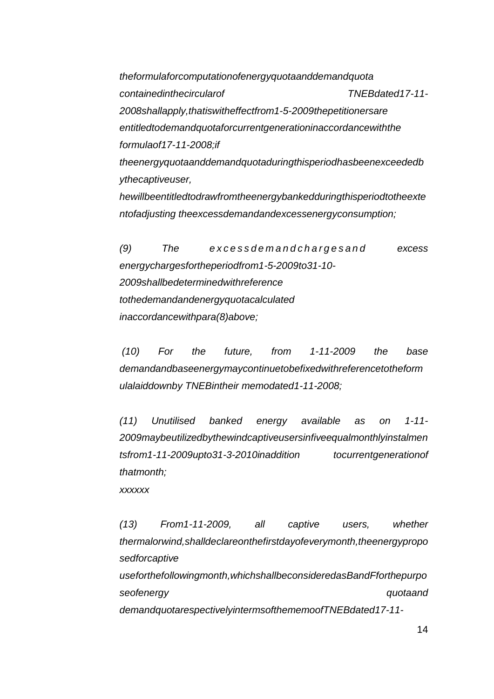*theformulaforcomputationofenergyquotaanddemandquota containedinthecircularof TNEBdated17-11- 2008shallapply,thatiswitheffectfrom1-5-2009thepetitionersare entitledtodemandquotaforcurrentgenerationinaccordancewiththe formulaof17-11-2008;if theenergyquotaanddemandquotaduringthisperiodhasbeenexceededb ythecaptiveuser, hewillbeentitledtodrawfromtheenergybankedduringthisperiodtotheexte ntofadjusting theexcessdemandandexcessenergyconsumption;*

*(9) The e x c e s s d e m a n d c h a r g e s a n d excess energychargesfortheperiodfrom1-5-2009to31-10- 2009shallbedeterminedwithreference tothedemandandenergyquotacalculated inaccordancewithpara(8)above;*

*(10) For the future, from 1-11-2009 the base demandandbaseenergymaycontinuetobefixedwithreferencetotheform ulalaiddownby TNEBintheir memodated1-11-2008;*

*(11) Unutilised banked energy available as on 1-11- 2009maybeutilizedbythewindcaptiveusersinfiveequalmonthlyinstalmen tsfrom1-11-2009upto31-3-2010inaddition tocurrentgenerationof thatmonth;*

*xxxxxx*

*(13) From1-11-2009, all captive users, whether thermalorwind,shalldeclareonthefirstdayofeverymonth,theenergypropo sedforcaptive useforthefollowingmonth,whichshallbeconsideredasBandFforthepurpo seofenergy quotaand* 

*demandquotarespectivelyintermsofthememoofTNEBdated17-11-*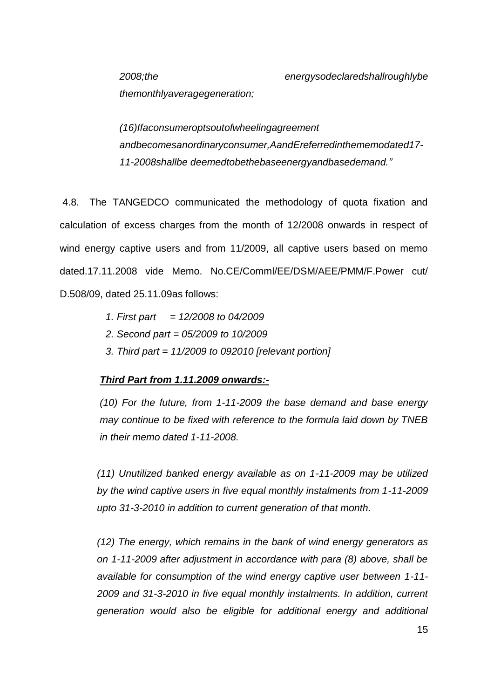*themonthlyaveragegeneration;*

*(16)Ifaconsumeroptsoutofwheelingagreement andbecomesanordinaryconsumer,AandEreferredinthememodated17- 11-2008shallbe deemedtobethebaseenergyandbasedemand."*

4.8. The TANGEDCO communicated the methodology of quota fixation and calculation of excess charges from the month of 12/2008 onwards in respect of wind energy captive users and from 11/2009, all captive users based on memo dated.17.11.2008 vide Memo. No.CE/Comml/EE/DSM/AEE/PMM/F.Power cut/ D.508/09, dated 25.11.09as follows:

- *1. First part = 12/2008 to 04/2009*
- *2. Second part = 05/2009 to 10/2009*
- *3. Third part = 11/2009 to 092010 [relevant portion]*

# *Third Part from 1.11.2009 onwards:-*

*(10) For the future, from 1-11-2009 the base demand and base energy may continue to be fixed with reference to the formula laid down by TNEB in their memo dated 1-11-2008.*

*(11) Unutilized banked energy available as on 1-11-2009 may be utilized by the wind captive users in five equal monthly instalments from 1-11-2009 upto 31-3-2010 in addition to current generation of that month.*

*(12) The energy, which remains in the bank of wind energy generators as on 1-11-2009 after adjustment in accordance with para (8) above, shall be available for consumption of the wind energy captive user between 1-11- 2009 and 31-3-2010 in five equal monthly instalments. In addition, current generation would also be eligible for additional energy and additional*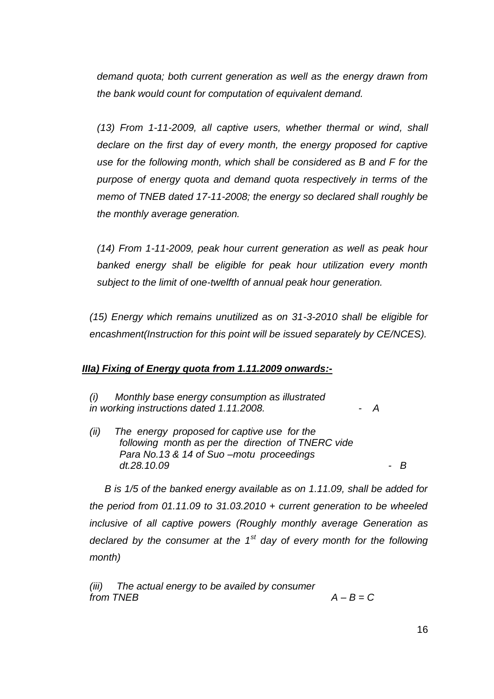*demand quota; both current generation as well as the energy drawn from the bank would count for computation of equivalent demand.*

*(13) From 1-11-2009, all captive users, whether thermal or wind, shall declare on the first day of every month, the energy proposed for captive use for the following month, which shall be considered as B and F for the purpose of energy quota and demand quota respectively in terms of the memo of TNEB dated 17-11-2008; the energy so declared shall roughly be the monthly average generation.*

*(14) From 1-11-2009, peak hour current generation as well as peak hour banked energy shall be eligible for peak hour utilization every month subject to the limit of one-twelfth of annual peak hour generation.*

*(15) Energy which remains unutilized as on 31-3-2010 shall be eligible for encashment(Instruction for this point will be issued separately by CE/NCES).*

# *IIIa) Fixing of Energy quota from 1.11.2009 onwards:-*

*(i) Monthly base energy consumption as illustrated in working instructions dated 1.11.2008. - A*

*(ii) The energy proposed for captive use for the following month as per the direction of TNERC vide Para No.13 & 14 of Suo –motu proceedings dt.28.10.09 - B* 

*B is 1/5 of the banked energy available as on 1.11.09, shall be added for the period from 01.11.09 to 31.03.2010 + current generation to be wheeled inclusive of all captive powers (Roughly monthly average Generation as declared by the consumer at the 1st day of every month for the following month)* 

*(iii) The actual energy to be availed by consumer from TNEB A – B = C*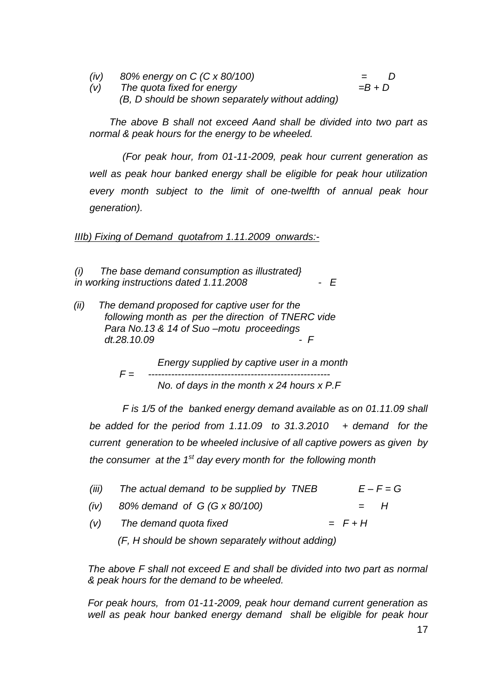*(iv) 80% energy on C (C x 80/100) = D (v)* The quota fixed for energy *(B, D should be shown separately without adding)*

*The above B shall not exceed Aand shall be divided into two part as normal & peak hours for the energy to be wheeled.*

*(For peak hour, from 01-11-2009, peak hour current generation as well as peak hour banked energy shall be eligible for peak hour utilization every month subject to the limit of one-twelfth of annual peak hour generation).*

*IIIb) Fixing of Demand quotafrom 1.11.2009 onwards:-*

*(i) The base demand consumption as illustrated} in working instructions dated 1.11.2008 - E*

 *(ii) The demand proposed for captive user for the following month as per the direction of TNERC vide Para No.13 & 14 of Suo –motu proceedings dt.28.10.09 - F*

> *Energy supplied by captive user in a month F = ------------------------------------------------------- No. of days in the month x 24 hours x P.F*

*F is 1/5 of the banked energy demand available as on 01.11.09 shall be added for the period from 1.11.09 to 31.3.2010 + demand for the current generation to be wheeled inclusive of all captive powers as given by the consumer at the 1st day every month for the following month*

| (iii) | The actual demand to be supplied by TNEB |           | $E - F = G$ |
|-------|------------------------------------------|-----------|-------------|
| (iv)  | 80% demand of G (G x 80/100)             |           | $=$ $H$     |
| (V)   | The demand quota fixed                   | $= F + H$ |             |

 *(F, H should be shown separately without adding)*

*The above F shall not exceed E and shall be divided into two part as normal & peak hours for the demand to be wheeled.* 

*For peak hours, from 01-11-2009, peak hour demand current generation as well as peak hour banked energy demand shall be eligible for peak hour*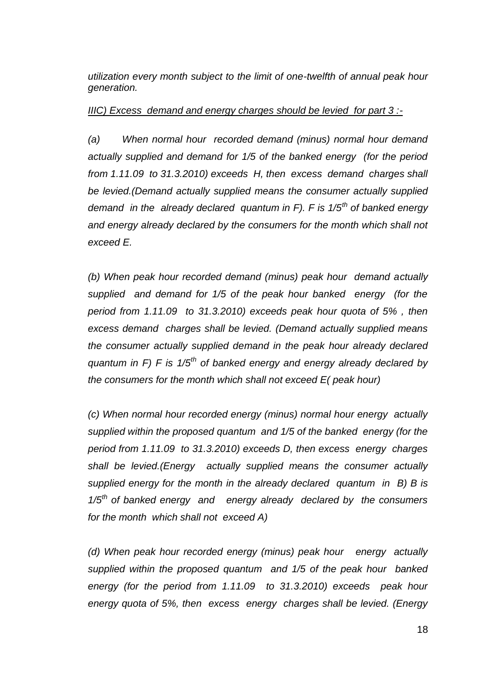*utilization every month subject to the limit of one-twelfth of annual peak hour generation.*

## *IIIC) Excess demand and energy charges should be levied for part 3 :-*

*(a) When normal hour recorded demand (minus) normal hour demand actually supplied and demand for 1/5 of the banked energy (for the period from 1.11.09 to 31.3.2010) exceeds H, then excess demand charges shall be levied.(Demand actually supplied means the consumer actually supplied demand in the already declared quantum in F). F is 1/5th of banked energy and energy already declared by the consumers for the month which shall not exceed E.*

*(b) When peak hour recorded demand (minus) peak hour demand actually supplied and demand for 1/5 of the peak hour banked energy (for the period from 1.11.09 to 31.3.2010) exceeds peak hour quota of 5% , then excess demand charges shall be levied. (Demand actually supplied means the consumer actually supplied demand in the peak hour already declared quantum in F) F is 1/5th of banked energy and energy already declared by the consumers for the month which shall not exceed E( peak hour)*

*(c) When normal hour recorded energy (minus) normal hour energy actually supplied within the proposed quantum and 1/5 of the banked energy (for the period from 1.11.09 to 31.3.2010) exceeds D, then excess energy charges shall be levied.(Energy actually supplied means the consumer actually supplied energy for the month in the already declared quantum in B) B is 1/5th of banked energy and energy already declared by the consumers for the month which shall not exceed A)*

*(d) When peak hour recorded energy (minus) peak hour energy actually supplied within the proposed quantum and 1/5 of the peak hour banked energy (for the period from 1.11.09 to 31.3.2010) exceeds peak hour energy quota of 5%, then excess energy charges shall be levied. (Energy*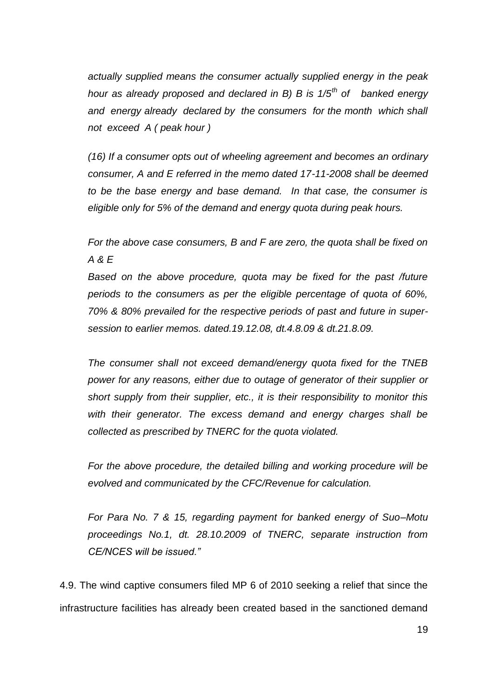*actually supplied means the consumer actually supplied energy in the peak hour as already proposed and declared in B) B is 1/5th of banked energy and energy already declared by the consumers for the month which shall not exceed A ( peak hour )*

*(16) If a consumer opts out of wheeling agreement and becomes an ordinary consumer, A and E referred in the memo dated 17-11-2008 shall be deemed to be the base energy and base demand. In that case, the consumer is eligible only for 5% of the demand and energy quota during peak hours.* 

*For the above case consumers, B and F are zero, the quota shall be fixed on A & E* 

*Based on the above procedure, quota may be fixed for the past /future periods to the consumers as per the eligible percentage of quota of 60%, 70% & 80% prevailed for the respective periods of past and future in supersession to earlier memos. dated.19.12.08, dt.4.8.09 & dt.21.8.09.*

*The consumer shall not exceed demand/energy quota fixed for the TNEB power for any reasons, either due to outage of generator of their supplier or short supply from their supplier, etc., it is their responsibility to monitor this with their generator. The excess demand and energy charges shall be collected as prescribed by TNERC for the quota violated.*

*For the above procedure, the detailed billing and working procedure will be evolved and communicated by the CFC/Revenue for calculation.*

*For Para No. 7 & 15, regarding payment for banked energy of Suo–Motu proceedings No.1, dt. 28.10.2009 of TNERC, separate instruction from CE/NCES will be issued."*

4.9. The wind captive consumers filed MP 6 of 2010 seeking a relief that since the infrastructure facilities has already been created based in the sanctioned demand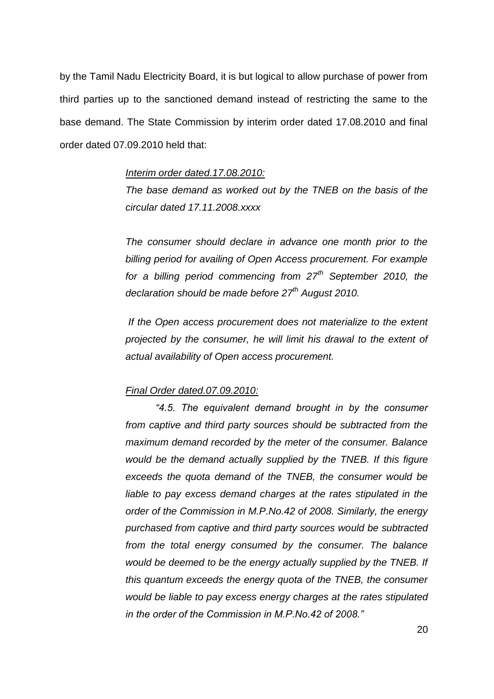by the Tamil Nadu Electricity Board, it is but logical to allow purchase of power from third parties up to the sanctioned demand instead of restricting the same to the base demand. The State Commission by interim order dated 17.08.2010 and final order dated 07.09.2010 held that:

### *Interim order dated.17.08.2010:*

*The base demand as worked out by the TNEB on the basis of the circular dated 17.11.2008.xxxx*

*The consumer should declare in advance one month prior to the billing period for availing of Open Access procurement. For example for a billing period commencing from 27th September 2010, the declaration should be made before 27th August 2010.*

*If the Open access procurement does not materialize to the extent projected by the consumer, he will limit his drawal to the extent of actual availability of Open access procurement.* 

### *Final Order dated.07.09.2010:*

*"4.5. The equivalent demand brought in by the consumer from captive and third party sources should be subtracted from the maximum demand recorded by the meter of the consumer. Balance would be the demand actually supplied by the TNEB. If this figure exceeds the quota demand of the TNEB, the consumer would be*  liable to pay excess demand charges at the rates stipulated in the *order of the Commission in M.P.No.42 of 2008. Similarly, the energy purchased from captive and third party sources would be subtracted from the total energy consumed by the consumer. The balance would be deemed to be the energy actually supplied by the TNEB. If this quantum exceeds the energy quota of the TNEB, the consumer would be liable to pay excess energy charges at the rates stipulated in the order of the Commission in M.P.No.42 of 2008."*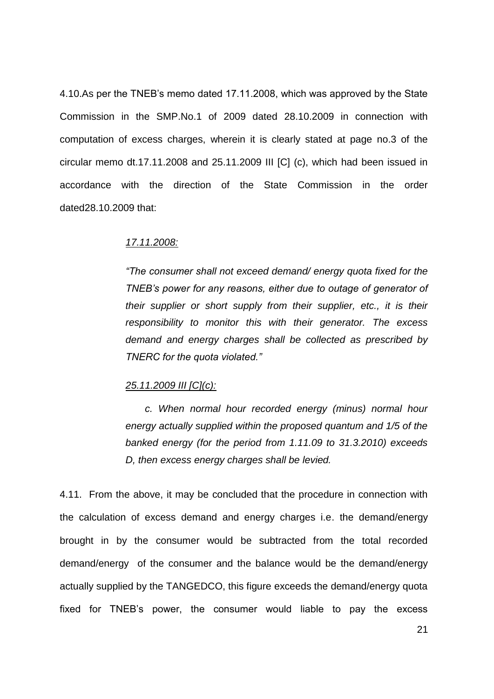4.10.As per the TNEB"s memo dated 17.11.2008, which was approved by the State Commission in the SMP.No.1 of 2009 dated 28.10.2009 in connection with computation of excess charges, wherein it is clearly stated at page no.3 of the circular memo dt.17.11.2008 and 25.11.2009 III [C] (c), which had been issued in accordance with the direction of the State Commission in the order dated28.10.2009 that:

#### *17.11.2008:*

*"The consumer shall not exceed demand/ energy quota fixed for the TNEB's power for any reasons, either due to outage of generator of their supplier or short supply from their supplier, etc., it is their responsibility to monitor this with their generator. The excess demand and energy charges shall be collected as prescribed by TNERC for the quota violated."*

#### *25.11.2009 III [C](c):*

 *c. When normal hour recorded energy (minus) normal hour energy actually supplied within the proposed quantum and 1/5 of the banked energy (for the period from 1.11.09 to 31.3.2010) exceeds D, then excess energy charges shall be levied.*

4.11. From the above, it may be concluded that the procedure in connection with the calculation of excess demand and energy charges i.e. the demand/energy brought in by the consumer would be subtracted from the total recorded demand/energy of the consumer and the balance would be the demand/energy actually supplied by the TANGEDCO, this figure exceeds the demand/energy quota fixed for TNEB"s power, the consumer would liable to pay the excess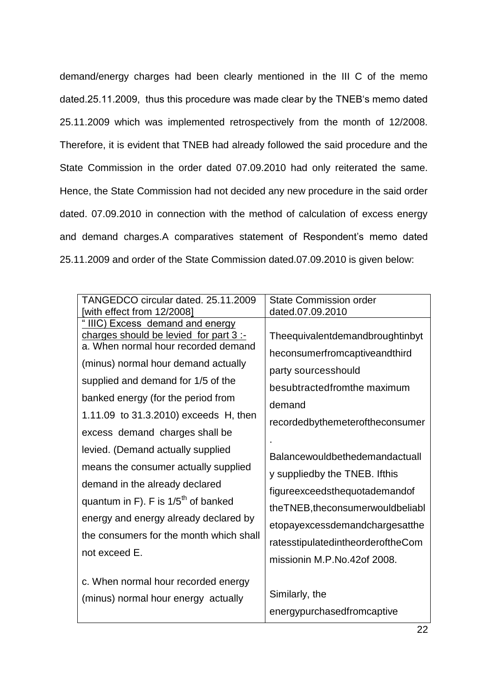demand/energy charges had been clearly mentioned in the III C of the memo dated.25.11.2009, thus this procedure was made clear by the TNEB"s memo dated 25.11.2009 which was implemented retrospectively from the month of 12/2008. Therefore, it is evident that TNEB had already followed the said procedure and the State Commission in the order dated 07.09.2010 had only reiterated the same. Hence, the State Commission had not decided any new procedure in the said order dated. 07.09.2010 in connection with the method of calculation of excess energy and demand charges.A comparatives statement of Respondent's memo dated 25.11.2009 and order of the State Commission dated.07.09.2010 is given below:

| TANGEDCO circular dated. 25.11.2009                                                                                                                                                                                                                                                                                                                                                                                                                                                                                                                                         | <b>State Commission order</b>                                                                                                                                                                                                                                                                                                                                                                                                                                                    |
|-----------------------------------------------------------------------------------------------------------------------------------------------------------------------------------------------------------------------------------------------------------------------------------------------------------------------------------------------------------------------------------------------------------------------------------------------------------------------------------------------------------------------------------------------------------------------------|----------------------------------------------------------------------------------------------------------------------------------------------------------------------------------------------------------------------------------------------------------------------------------------------------------------------------------------------------------------------------------------------------------------------------------------------------------------------------------|
| [with effect from 12/2008]                                                                                                                                                                                                                                                                                                                                                                                                                                                                                                                                                  | dated.07.09.2010                                                                                                                                                                                                                                                                                                                                                                                                                                                                 |
| "IIIC) Excess demand and energy<br>charges should be levied for part 3 :-<br>a. When normal hour recorded demand<br>(minus) normal hour demand actually<br>supplied and demand for 1/5 of the<br>banked energy (for the period from<br>1.11.09 to 31.3.2010) exceeds H, then<br>excess demand charges shall be<br>levied. (Demand actually supplied<br>means the consumer actually supplied<br>demand in the already declared<br>quantum in F). F is $1/5th$ of banked<br>energy and energy already declared by<br>the consumers for the month which shall<br>not exceed E. | Theequivalentdemandbroughtinbyt<br>heconsumerfromcaptiveandthird<br>party sourcesshould<br>besubtractedfromthe maximum<br>demand<br>recordedbythemeteroftheconsumer<br>Balancewouldbethedemandactuall<br>y suppliedby the TNEB. Ifthis<br>figureexceedsthequotademandof<br>the TNEB, the consumer would be liabled in the TNEB, the consumer would be liabled to the TNEB.<br>etopayexcessdemandchargesatthe<br>ratesstipulatedintheorderoftheCom<br>missionin M.P.No.42of 2008. |
| c. When normal hour recorded energy                                                                                                                                                                                                                                                                                                                                                                                                                                                                                                                                         | Similarly, the                                                                                                                                                                                                                                                                                                                                                                                                                                                                   |
| (minus) normal hour energy actually                                                                                                                                                                                                                                                                                                                                                                                                                                                                                                                                         | energypurchasedfromcaptive                                                                                                                                                                                                                                                                                                                                                                                                                                                       |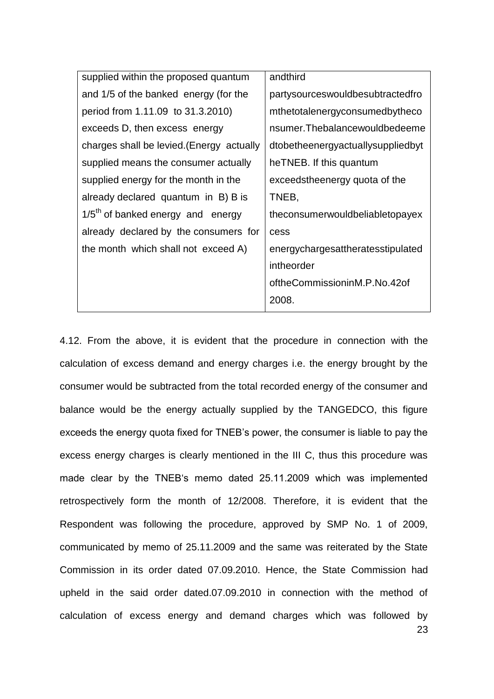| supplied within the proposed quantum      | andthird                          |
|-------------------------------------------|-----------------------------------|
| and 1/5 of the banked energy (for the     | partysourceswouldbesubtractedfro  |
| period from 1.11.09 to 31.3.2010)         | mthetotalenergyconsumedbytheco    |
| exceeds D, then excess energy             | nsumer.Thebalancewouldbedeeme     |
| charges shall be levied. (Energy actually | dtobetheenergyactuallysuppliedbyt |
| supplied means the consumer actually      | heTNEB. If this quantum           |
| supplied energy for the month in the      | exceedstheenergy quota of the     |
| already declared quantum in B) B is       | TNEB,                             |
| $1/5th$ of banked energy and energy       | theconsumerwouldbeliabletopayex   |
| already declared by the consumers for     | cess                              |
| the month which shall not exceed A)       | energychargesattheratesstipulated |
|                                           | intheorder                        |
|                                           | oftheCommissioninM.P.No.42of      |
|                                           | 2008.                             |
|                                           |                                   |

23 4.12. From the above, it is evident that the procedure in connection with the calculation of excess demand and energy charges i.e. the energy brought by the consumer would be subtracted from the total recorded energy of the consumer and balance would be the energy actually supplied by the TANGEDCO, this figure exceeds the energy quota fixed for TNEB"s power, the consumer is liable to pay the excess energy charges is clearly mentioned in the III C, thus this procedure was made clear by the TNEB"s memo dated 25.11.2009 which was implemented retrospectively form the month of 12/2008. Therefore, it is evident that the Respondent was following the procedure, approved by SMP No. 1 of 2009, communicated by memo of 25.11.2009 and the same was reiterated by the State Commission in its order dated 07.09.2010. Hence, the State Commission had upheld in the said order dated.07.09.2010 in connection with the method of calculation of excess energy and demand charges which was followed by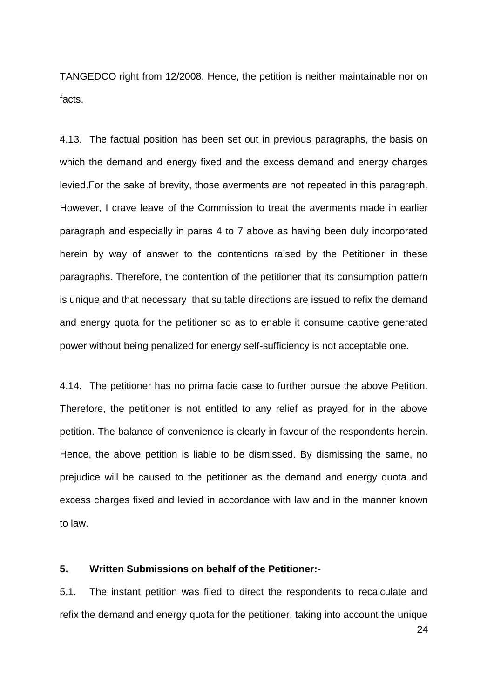TANGEDCO right from 12/2008. Hence, the petition is neither maintainable nor on facts.

4.13. The factual position has been set out in previous paragraphs, the basis on which the demand and energy fixed and the excess demand and energy charges levied.For the sake of brevity, those averments are not repeated in this paragraph. However, I crave leave of the Commission to treat the averments made in earlier paragraph and especially in paras 4 to 7 above as having been duly incorporated herein by way of answer to the contentions raised by the Petitioner in these paragraphs. Therefore, the contention of the petitioner that its consumption pattern is unique and that necessary that suitable directions are issued to refix the demand and energy quota for the petitioner so as to enable it consume captive generated power without being penalized for energy self-sufficiency is not acceptable one.

4.14. The petitioner has no prima facie case to further pursue the above Petition. Therefore, the petitioner is not entitled to any relief as prayed for in the above petition. The balance of convenience is clearly in favour of the respondents herein. Hence, the above petition is liable to be dismissed. By dismissing the same, no prejudice will be caused to the petitioner as the demand and energy quota and excess charges fixed and levied in accordance with law and in the manner known to law.

# **5. Written Submissions on behalf of the Petitioner:-**

5.1. The instant petition was filed to direct the respondents to recalculate and refix the demand and energy quota for the petitioner, taking into account the unique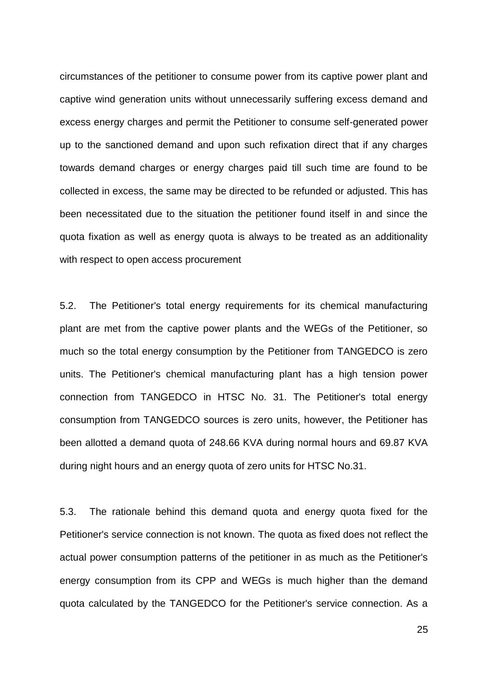circumstances of the petitioner to consume power from its captive power plant and captive wind generation units without unnecessarily suffering excess demand and excess energy charges and permit the Petitioner to consume self-generated power up to the sanctioned demand and upon such refixation direct that if any charges towards demand charges or energy charges paid till such time are found to be collected in excess, the same may be directed to be refunded or adjusted. This has been necessitated due to the situation the petitioner found itself in and since the quota fixation as well as energy quota is always to be treated as an additionality with respect to open access procurement

5.2. The Petitioner's total energy requirements for its chemical manufacturing plant are met from the captive power plants and the WEGs of the Petitioner, so much so the total energy consumption by the Petitioner from TANGEDCO is zero units. The Petitioner's chemical manufacturing plant has a high tension power connection from TANGEDCO in HTSC No. 31. The Petitioner's total energy consumption from TANGEDCO sources is zero units, however, the Petitioner has been allotted a demand quota of 248.66 KVA during normal hours and 69.87 KVA during night hours and an energy quota of zero units for HTSC No.31.

5.3. The rationale behind this demand quota and energy quota fixed for the Petitioner's service connection is not known. The quota as fixed does not reflect the actual power consumption patterns of the petitioner in as much as the Petitioner's energy consumption from its CPP and WEGs is much higher than the demand quota calculated by the TANGEDCO for the Petitioner's service connection. As a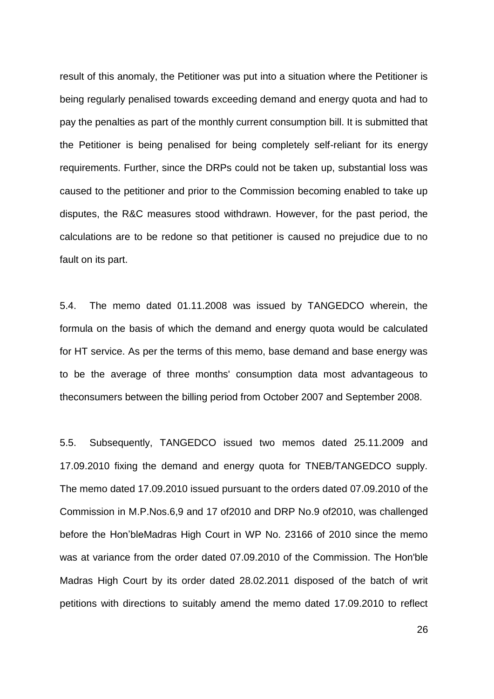result of this anomaly, the Petitioner was put into a situation where the Petitioner is being regularly penalised towards exceeding demand and energy quota and had to pay the penalties as part of the monthly current consumption bill. It is submitted that the Petitioner is being penalised for being completely self-reliant for its energy requirements. Further, since the DRPs could not be taken up, substantial loss was caused to the petitioner and prior to the Commission becoming enabled to take up disputes, the R&C measures stood withdrawn. However, for the past period, the calculations are to be redone so that petitioner is caused no prejudice due to no fault on its part.

5.4. The memo dated 01.11.2008 was issued by TANGEDCO wherein, the formula on the basis of which the demand and energy quota would be calculated for HT service. As per the terms of this memo, base demand and base energy was to be the average of three months' consumption data most advantageous to theconsumers between the billing period from October 2007 and September 2008.

5.5. Subsequently, TANGEDCO issued two memos dated 25.11.2009 and 17.09.2010 fixing the demand and energy quota for TNEB/TANGEDCO supply. The memo dated 17.09.2010 issued pursuant to the orders dated 07.09.2010 of the Commission in M.P.Nos.6,9 and 17 of2010 and DRP No.9 of2010, was challenged before the Hon"bleMadras High Court in WP No. 23166 of 2010 since the memo was at variance from the order dated 07.09.2010 of the Commission. The Hon'ble Madras High Court by its order dated 28.02.2011 disposed of the batch of writ petitions with directions to suitably amend the memo dated 17.09.2010 to reflect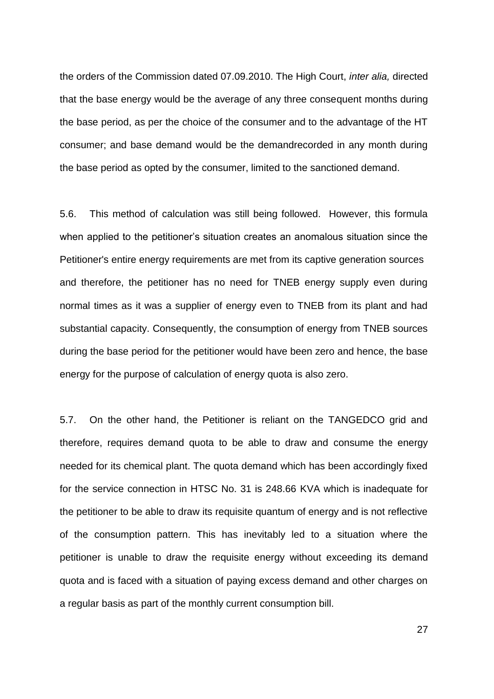the orders of the Commission dated 07.09.2010. The High Court, *inter alia,* directed that the base energy would be the average of any three consequent months during the base period, as per the choice of the consumer and to the advantage of the HT consumer; and base demand would be the demandrecorded in any month during the base period as opted by the consumer, limited to the sanctioned demand.

5.6. This method of calculation was still being followed. However, this formula when applied to the petitioner"s situation creates an anomalous situation since the Petitioner's entire energy requirements are met from its captive generation sources and therefore, the petitioner has no need for TNEB energy supply even during normal times as it was a supplier of energy even to TNEB from its plant and had substantial capacity. Consequently, the consumption of energy from TNEB sources during the base period for the petitioner would have been zero and hence, the base energy for the purpose of calculation of energy quota is also zero.

5.7. On the other hand, the Petitioner is reliant on the TANGEDCO grid and therefore, requires demand quota to be able to draw and consume the energy needed for its chemical plant. The quota demand which has been accordingly fixed for the service connection in HTSC No. 31 is 248.66 KVA which is inadequate for the petitioner to be able to draw its requisite quantum of energy and is not reflective of the consumption pattern. This has inevitably led to a situation where the petitioner is unable to draw the requisite energy without exceeding its demand quota and is faced with a situation of paying excess demand and other charges on a regular basis as part of the monthly current consumption bill.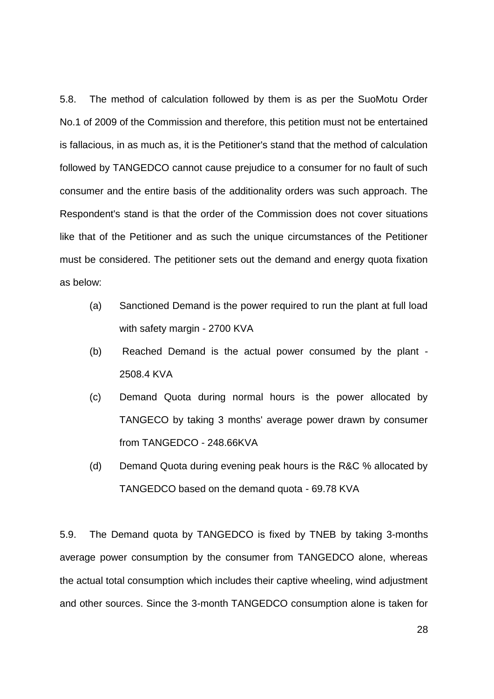5.8. The method of calculation followed by them is as per the SuoMotu Order No.1 of 2009 of the Commission and therefore, this petition must not be entertained is fallacious, in as much as, it is the Petitioner's stand that the method of calculation followed by TANGEDCO cannot cause prejudice to a consumer for no fault of such consumer and the entire basis of the additionality orders was such approach. The Respondent's stand is that the order of the Commission does not cover situations like that of the Petitioner and as such the unique circumstances of the Petitioner must be considered. The petitioner sets out the demand and energy quota fixation as below:

- (a) Sanctioned Demand is the power required to run the plant at full load with safety margin - 2700 KVA
- (b) Reached Demand is the actual power consumed by the plant 2508.4 KVA
- (c) Demand Quota during normal hours is the power allocated by TANGECO by taking 3 months' average power drawn by consumer from TANGEDCO - 248.66KVA
- (d) Demand Quota during evening peak hours is the R&C % allocated by TANGEDCO based on the demand quota - 69.78 KVA

5.9. The Demand quota by TANGEDCO is fixed by TNEB by taking 3-months average power consumption by the consumer from TANGEDCO alone, whereas the actual total consumption which includes their captive wheeling, wind adjustment and other sources. Since the 3-month TANGEDCO consumption alone is taken for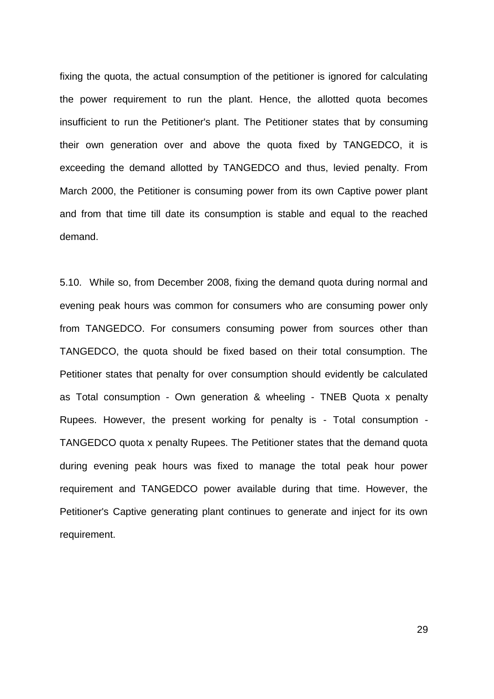fixing the quota, the actual consumption of the petitioner is ignored for calculating the power requirement to run the plant. Hence, the allotted quota becomes insufficient to run the Petitioner's plant. The Petitioner states that by consuming their own generation over and above the quota fixed by TANGEDCO, it is exceeding the demand allotted by TANGEDCO and thus, levied penalty. From March 2000, the Petitioner is consuming power from its own Captive power plant and from that time till date its consumption is stable and equal to the reached demand.

5.10. While so, from December 2008, fixing the demand quota during normal and evening peak hours was common for consumers who are consuming power only from TANGEDCO. For consumers consuming power from sources other than TANGEDCO, the quota should be fixed based on their total consumption. The Petitioner states that penalty for over consumption should evidently be calculated as Total consumption - Own generation & wheeling - TNEB Quota x penalty Rupees. However, the present working for penalty is - Total consumption - TANGEDCO quota x penalty Rupees. The Petitioner states that the demand quota during evening peak hours was fixed to manage the total peak hour power requirement and TANGEDCO power available during that time. However, the Petitioner's Captive generating plant continues to generate and inject for its own requirement.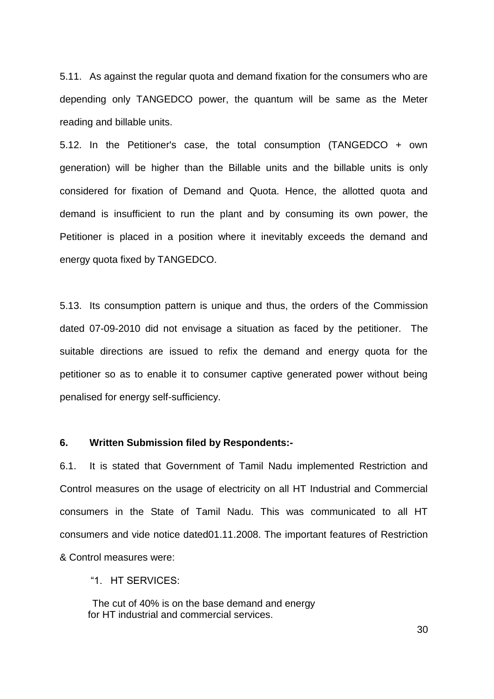5.11. As against the regular quota and demand fixation for the consumers who are depending only TANGEDCO power, the quantum will be same as the Meter reading and billable units.

5.12. In the Petitioner's case, the total consumption (TANGEDCO + own generation) will be higher than the Billable units and the billable units is only considered for fixation of Demand and Quota. Hence, the allotted quota and demand is insufficient to run the plant and by consuming its own power, the Petitioner is placed in a position where it inevitably exceeds the demand and energy quota fixed by TANGEDCO.

5.13. Its consumption pattern is unique and thus, the orders of the Commission dated 07-09-2010 did not envisage a situation as faced by the petitioner. The suitable directions are issued to refix the demand and energy quota for the petitioner so as to enable it to consumer captive generated power without being penalised for energy self-sufficiency.

### **6. Written Submission filed by Respondents:-**

6.1. It is stated that Government of Tamil Nadu implemented Restriction and Control measures on the usage of electricity on all HT Industrial and Commercial consumers in the State of Tamil Nadu. This was communicated to all HT consumers and vide notice dated01.11.2008. The important features of Restriction & Control measures were:

"1. HT SERVICES:

The cut of 40% is on the base demand and energy for HT industrial and commercial services.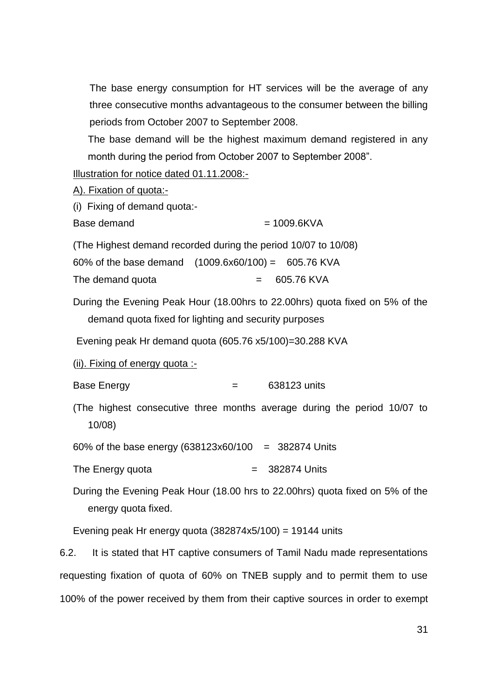The base energy consumption for HT services will be the average of any three consecutive months advantageous to the consumer between the billing periods from October 2007 to September 2008.

The base demand will be the highest maximum demand registered in any month during the period from October 2007 to September 2008".

Illustration for notice dated 01.11.2008:-

| A). Fixation of quota:-         |                                                                                                                                       |
|---------------------------------|---------------------------------------------------------------------------------------------------------------------------------------|
| (i) Fixing of demand quota:-    |                                                                                                                                       |
| Base demand                     | $= 1009.6$ KVA                                                                                                                        |
|                                 | (The Highest demand recorded during the period 10/07 to 10/08)                                                                        |
|                                 | 60% of the base demand $(1009.6x60/100) = 605.76$ KVA                                                                                 |
| The demand quota                | 605.76 KVA                                                                                                                            |
|                                 | During the Evening Peak Hour (18.00hrs to 22.00hrs) quota fixed on 5% of the<br>demand quota fixed for lighting and security purposes |
|                                 | Evening peak Hr demand quota (605.76 x5/100)=30.288 KVA                                                                               |
| (ii). Fixing of energy quota :- |                                                                                                                                       |
| <b>Base Energy</b>              | 638123 units<br>$=$                                                                                                                   |
| 10/08                           | (The highest consecutive three months average during the period 10/07 to                                                              |
|                                 | 60% of the base energy (638123x60/100 = 382874 Units                                                                                  |
| The Energy quota                | 382874 Units                                                                                                                          |
| energy quota fixed.             | During the Evening Peak Hour (18.00 hrs to 22.00hrs) quota fixed on 5% of the                                                         |

Evening peak Hr energy quota  $(382874x5/100) = 19144$  units

6.2. It is stated that HT captive consumers of Tamil Nadu made representations requesting fixation of quota of 60% on TNEB supply and to permit them to use 100% of the power received by them from their captive sources in order to exempt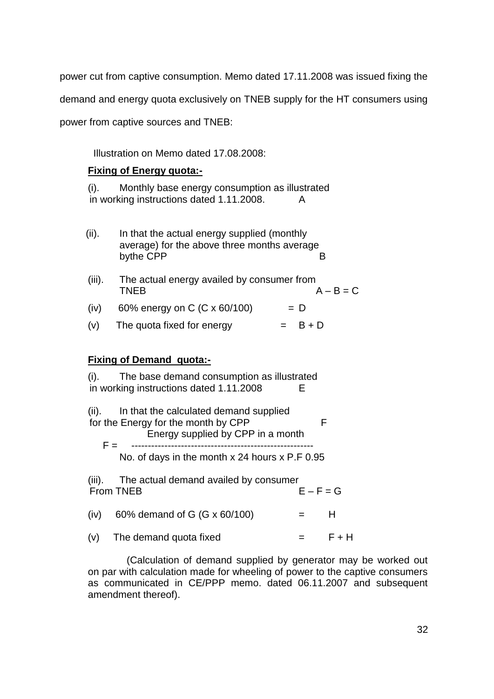power cut from captive consumption. Memo dated 17.11.2008 was issued fixing the demand and energy quota exclusively on TNEB supply for the HT consumers using power from captive sources and TNEB:

Illustration on Memo dated 17.08.2008:

# **Fixing of Energy quota:-**

(i). Monthly base energy consumption as illustrated in working instructions dated 1.11.2008. A

- (ii). In that the actual energy supplied (monthly average) for the above three months average bythe CPP B
- (iii). The actual energy availed by consumer from TNEB  $A - B = C$ (iv) 60% energy on C (C x 60/100)  $= D$
- (v) The quota fixed for energy  $= B + D$

# **Fixing of Demand quota:-**

(i). The base demand consumption as illustrated in working instructions dated 1.11.2008 E

(ii). In that the calculated demand supplied for the Energy for the month by CPP F Energy supplied by CPP in a month

F = ------------------------------------------------------- No. of days in the month x 24 hours x P.F 0.95

(iii). The actual demand availed by consumer From TNEB  $E - F = G$ (iv) 60% demand of G (G x 60/100)  $=$  H

(v) The demand quota fixed  $=$   $F + H$ 

 (Calculation of demand supplied by generator may be worked out on par with calculation made for wheeling of power to the captive consumers as communicated in CE/PPP memo. dated 06.11.2007 and subsequent amendment thereof).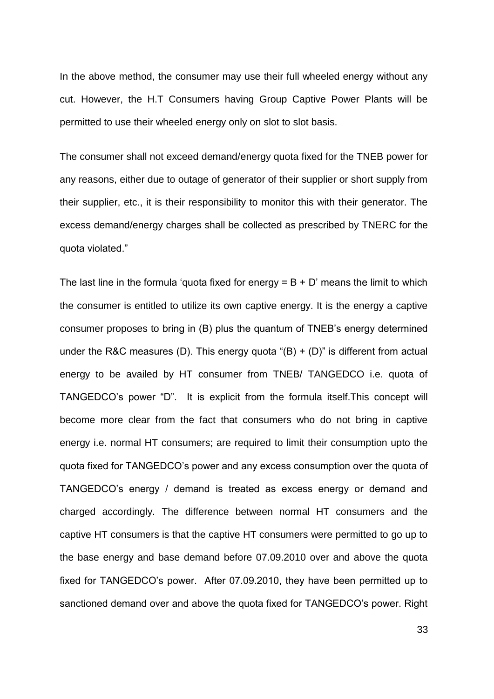In the above method, the consumer may use their full wheeled energy without any cut. However, the H.T Consumers having Group Captive Power Plants will be permitted to use their wheeled energy only on slot to slot basis.

The consumer shall not exceed demand/energy quota fixed for the TNEB power for any reasons, either due to outage of generator of their supplier or short supply from their supplier, etc., it is their responsibility to monitor this with their generator. The excess demand/energy charges shall be collected as prescribed by TNERC for the quota violated."

The last line in the formula 'quota fixed for energy =  $B + D'$  means the limit to which the consumer is entitled to utilize its own captive energy. It is the energy a captive consumer proposes to bring in (B) plus the quantum of TNEB"s energy determined under the R&C measures (D). This energy quota " $(B) + (D)$ " is different from actual energy to be availed by HT consumer from TNEB/ TANGEDCO i.e. quota of TANGEDCO"s power "D". It is explicit from the formula itself.This concept will become more clear from the fact that consumers who do not bring in captive energy i.e. normal HT consumers; are required to limit their consumption upto the quota fixed for TANGEDCO"s power and any excess consumption over the quota of TANGEDCO"s energy / demand is treated as excess energy or demand and charged accordingly. The difference between normal HT consumers and the captive HT consumers is that the captive HT consumers were permitted to go up to the base energy and base demand before 07.09.2010 over and above the quota fixed for TANGEDCO"s power. After 07.09.2010, they have been permitted up to sanctioned demand over and above the quota fixed for TANGEDCO"s power. Right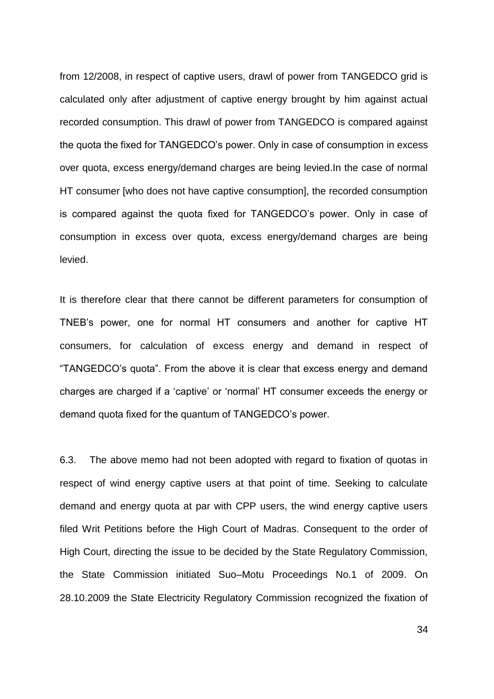from 12/2008, in respect of captive users, drawl of power from TANGEDCO grid is calculated only after adjustment of captive energy brought by him against actual recorded consumption. This drawl of power from TANGEDCO is compared against the quota the fixed for TANGEDCO"s power. Only in case of consumption in excess over quota, excess energy/demand charges are being levied.In the case of normal HT consumer [who does not have captive consumption], the recorded consumption is compared against the quota fixed for TANGEDCO"s power. Only in case of consumption in excess over quota, excess energy/demand charges are being levied.

It is therefore clear that there cannot be different parameters for consumption of TNEB"s power, one for normal HT consumers and another for captive HT consumers, for calculation of excess energy and demand in respect of "TANGEDCO"s quota". From the above it is clear that excess energy and demand charges are charged if a "captive" or "normal" HT consumer exceeds the energy or demand quota fixed for the quantum of TANGEDCO"s power.

6.3. The above memo had not been adopted with regard to fixation of quotas in respect of wind energy captive users at that point of time. Seeking to calculate demand and energy quota at par with CPP users, the wind energy captive users filed Writ Petitions before the High Court of Madras. Consequent to the order of High Court, directing the issue to be decided by the State Regulatory Commission, the State Commission initiated Suo–Motu Proceedings No.1 of 2009. On 28.10.2009 the State Electricity Regulatory Commission recognized the fixation of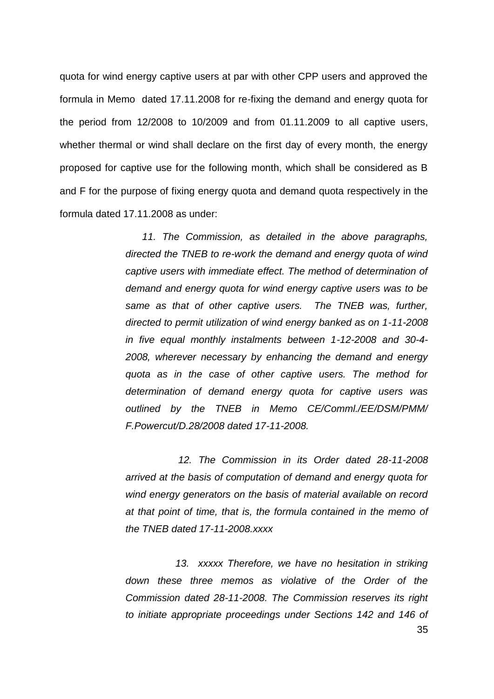quota for wind energy captive users at par with other CPP users and approved the formula in Memo dated 17.11.2008 for re-fixing the demand and energy quota for the period from 12/2008 to 10/2009 and from 01.11.2009 to all captive users, whether thermal or wind shall declare on the first day of every month, the energy proposed for captive use for the following month, which shall be considered as B and F for the purpose of fixing energy quota and demand quota respectively in the formula dated 17.11.2008 as under:

> *11. The Commission, as detailed in the above paragraphs, directed the TNEB to re-work the demand and energy quota of wind captive users with immediate effect. The method of determination of demand and energy quota for wind energy captive users was to be same as that of other captive users. The TNEB was, further, directed to permit utilization of wind energy banked as on 1-11-2008 in five equal monthly instalments between 1-12-2008 and 30-4- 2008, wherever necessary by enhancing the demand and energy quota as in the case of other captive users. The method for determination of demand energy quota for captive users was outlined by the TNEB in Memo CE/Comml./EE/DSM/PMM/ F.Powercut/D.28/2008 dated 17-11-2008.*

> *12. The Commission in its Order dated 28-11-2008 arrived at the basis of computation of demand and energy quota for wind energy generators on the basis of material available on record at that point of time, that is, the formula contained in the memo of the TNEB dated 17-11-2008.xxxx*

> *13. xxxxx Therefore, we have no hesitation in striking down these three memos as violative of the Order of the Commission dated 28-11-2008. The Commission reserves its right to initiate appropriate proceedings under Sections 142 and 146 of*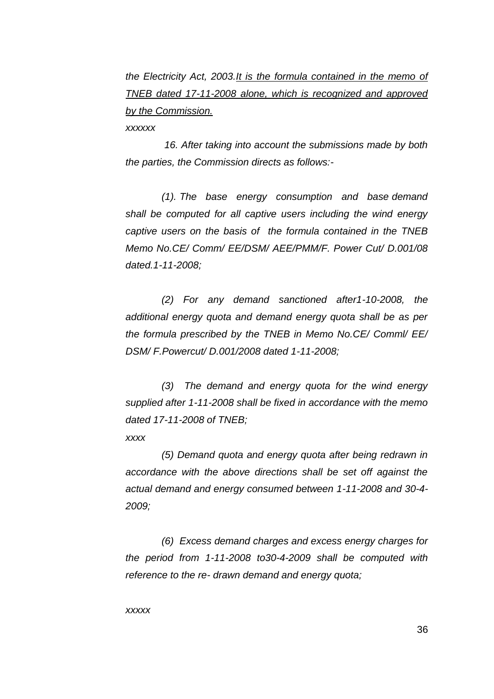*the Electricity Act, 2003.It is the formula contained in the memo of TNEB dated 17-11-2008 alone, which is recognized and approved by the Commission.*

*xxxxxx*

 *16. After taking into account the submissions made by both the parties, the Commission directs as follows:-*

 *(1). The base energy consumption and base demand shall be computed for all captive users including the wind energy captive users on the basis of the formula contained in the TNEB Memo No.CE/ Comm/ EE/DSM/ AEE/PMM/F. Power Cut/ D.001/08 dated.1-11-2008;*

 *(2) For any demand sanctioned after1-10-2008, the additional energy quota and demand energy quota shall be as per the formula prescribed by the TNEB in Memo No.CE/ Comml/ EE/ DSM/ F.Powercut/ D.001/2008 dated 1-11-2008;*

 *(3) The demand and energy quota for the wind energy supplied after 1-11-2008 shall be fixed in accordance with the memo dated 17-11-2008 of TNEB;*

*xxxx*

 *(5) Demand quota and energy quota after being redrawn in accordance with the above directions shall be set off against the actual demand and energy consumed between 1-11-2008 and 30-4- 2009;*

 *(6) Excess demand charges and excess energy charges for the period from 1-11-2008 to30-4-2009 shall be computed with reference to the re- drawn demand and energy quota;*

*xxxxx*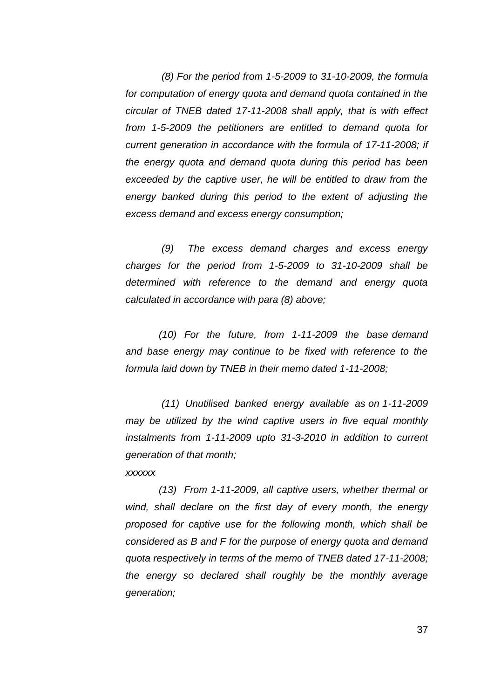*(8) For the period from 1-5-2009 to 31-10-2009, the formula for computation of energy quota and demand quota contained in the circular of TNEB dated 17-11-2008 shall apply, that is with effect from 1-5-2009 the petitioners are entitled to demand quota for current generation in accordance with the formula of 17-11-2008; if the energy quota and demand quota during this period has been exceeded by the captive user, he will be entitled to draw from the energy banked during this period to the extent of adjusting the excess demand and excess energy consumption;*

 *(9) The excess demand charges and excess energy charges for the period from 1-5-2009 to 31-10-2009 shall be determined with reference to the demand and energy quota calculated in accordance with para (8) above;*

 *(10) For the future, from 1-11-2009 the base demand and base energy may continue to be fixed with reference to the formula laid down by TNEB in their memo dated 1-11-2008;*

 *(11) Unutilised banked energy available as on 1-11-2009 may be utilized by the wind captive users in five equal monthly instalments from 1-11-2009 upto 31-3-2010 in addition to current generation of that month; xxxxxx*

 *(13) From 1-11-2009, all captive users, whether thermal or wind, shall declare on the first day of every month, the energy proposed for captive use for the following month, which shall be considered as B and F for the purpose of energy quota and demand quota respectively in terms of the memo of TNEB dated 17-11-2008; the energy so declared shall roughly be the monthly average generation;*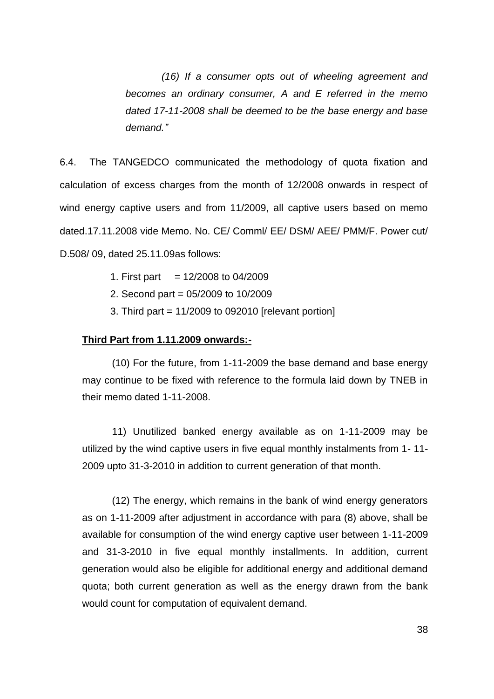*(16) If a consumer opts out of wheeling agreement and becomes an ordinary consumer, A and E referred in the memo dated 17-11-2008 shall be deemed to be the base energy and base demand."*

6.4. The TANGEDCO communicated the methodology of quota fixation and calculation of excess charges from the month of 12/2008 onwards in respect of wind energy captive users and from 11/2009, all captive users based on memo dated.17.11.2008 vide Memo. No. CE/ Comml/ EE/ DSM/ AEE/ PMM/F. Power cut/ D.508/ 09, dated 25.11.09as follows:

- 1. First part  $= 12/2008$  to 04/2009
- 2. Second part = 05/2009 to 10/2009
- 3. Third part = 11/2009 to 092010 [relevant portion]

#### **Third Part from 1.11.2009 onwards:-**

(10) For the future, from 1-11-2009 the base demand and base energy may continue to be fixed with reference to the formula laid down by TNEB in their memo dated 1-11-2008.

11) Unutilized banked energy available as on 1-11-2009 may be utilized by the wind captive users in five equal monthly instalments from 1- 11- 2009 upto 31-3-2010 in addition to current generation of that month.

(12) The energy, which remains in the bank of wind energy generators as on 1-11-2009 after adjustment in accordance with para (8) above, shall be available for consumption of the wind energy captive user between 1-11-2009 and 31-3-2010 in five equal monthly installments. In addition, current generation would also be eligible for additional energy and additional demand quota; both current generation as well as the energy drawn from the bank would count for computation of equivalent demand.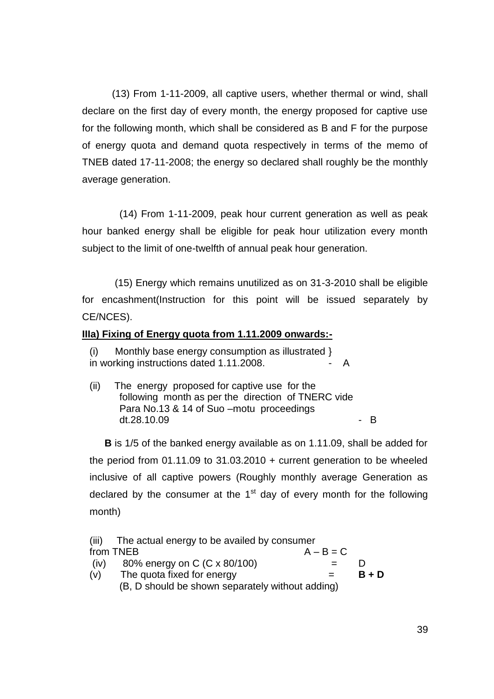(13) From 1-11-2009, all captive users, whether thermal or wind, shall declare on the first day of every month, the energy proposed for captive use for the following month, which shall be considered as B and F for the purpose of energy quota and demand quota respectively in terms of the memo of TNEB dated 17-11-2008; the energy so declared shall roughly be the monthly average generation.

(14) From 1-11-2009, peak hour current generation as well as peak hour banked energy shall be eligible for peak hour utilization every month subject to the limit of one-twelfth of annual peak hour generation.

(15) Energy which remains unutilized as on 31-3-2010 shall be eligible for encashment(Instruction for this point will be issued separately by CE/NCES).

# **IIIa) Fixing of Energy quota from 1.11.2009 onwards:-**

Monthly base energy consumption as illustrated } in working instructions dated 1.11.2008.

(ii) The energy proposed for captive use for the following month as per the direction of TNERC vide Para No.13 & 14 of Suo –motu proceedings  $dt.28.10.09$  - B

**B** is 1/5 of the banked energy available as on 1.11.09, shall be added for the period from 01.11.09 to 31.03.2010 + current generation to be wheeled inclusive of all captive powers (Roughly monthly average Generation as declared by the consumer at the  $1<sup>st</sup>$  day of every month for the following month)

| (iii) | The actual energy to be availed by consumer      |             |         |
|-------|--------------------------------------------------|-------------|---------|
|       | from TNEB                                        | $A - B = C$ |         |
| (iv)  | 80% energy on C (C x 80/100)                     |             |         |
| (v)   | The quota fixed for energy                       |             | $B + D$ |
|       | (B, D should be shown separately without adding) |             |         |
|       |                                                  |             |         |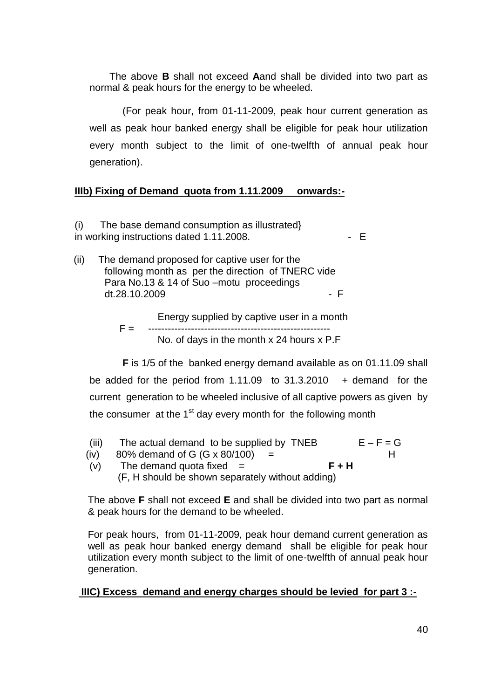The above **B** shall not exceed **A**and shall be divided into two part as normal & peak hours for the energy to be wheeled.

(For peak hour, from 01-11-2009, peak hour current generation as well as peak hour banked energy shall be eligible for peak hour utilization every month subject to the limit of one-twelfth of annual peak hour generation).

# **IIIb) Fixing of Demand quota from 1.11.2009 onwards:-**

(i) The base demand consumption as illustrated} in working instructions dated 1.11.2008.  $\overline{E}$ 

 (ii) The demand proposed for captive user for the following month as per the direction of TNERC vide Para No.13 & 14 of Suo –motu proceedings  $dt.28.10.2009$  F

> Energy supplied by captive user in a month F = ------------------------------------------------------- No. of days in the month x 24 hours x P.F

**F** is 1/5 of the banked energy demand available as on 01.11.09 shall be added for the period from  $1.11.09$  to  $31.3.2010$  + demand for the current generation to be wheeled inclusive of all captive powers as given by the consumer at the  $1<sup>st</sup>$  day every month for the following month

- (iii) The actual demand to be supplied by TNEB  $E F = G$
- (iv) 80% demand of G  $(G \times 80/100)$  = H
- (v) The demand quota fixed = **F + H** (F, H should be shown separately without adding)

The above **F** shall not exceed **E** and shall be divided into two part as normal & peak hours for the demand to be wheeled.

For peak hours, from 01-11-2009, peak hour demand current generation as well as peak hour banked energy demand shall be eligible for peak hour utilization every month subject to the limit of one-twelfth of annual peak hour generation.

# **IIIC) Excess demand and energy charges should be levied for part 3 :-**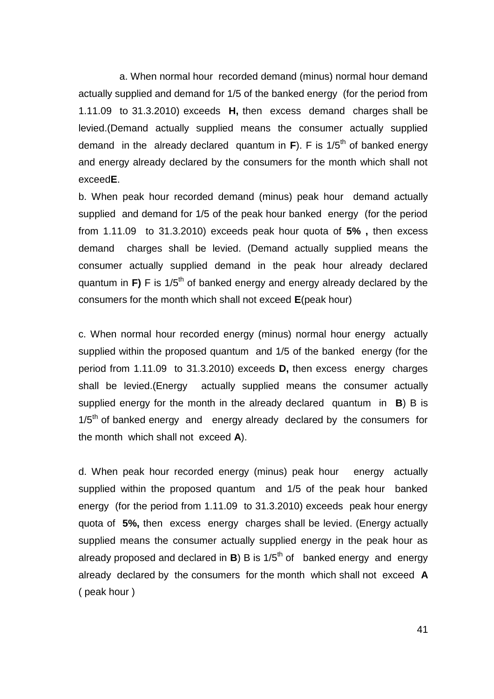a. When normal hour recorded demand (minus) normal hour demand actually supplied and demand for 1/5 of the banked energy (for the period from 1.11.09 to 31.3.2010) exceeds **H,** then excess demand charges shall be levied.(Demand actually supplied means the consumer actually supplied demand in the already declared quantum in  $\mathbf{F}$ ). F is  $1/5^{\text{th}}$  of banked energy and energy already declared by the consumers for the month which shall not exceed**E**.

b. When peak hour recorded demand (minus) peak hour demand actually supplied and demand for 1/5 of the peak hour banked energy (for the period from 1.11.09 to 31.3.2010) exceeds peak hour quota of **5% ,** then excess demand charges shall be levied. (Demand actually supplied means the consumer actually supplied demand in the peak hour already declared quantum in  $\mathbf{F}$ ) F is 1/5<sup>th</sup> of banked energy and energy already declared by the consumers for the month which shall not exceed **E**(peak hour)

c. When normal hour recorded energy (minus) normal hour energy actually supplied within the proposed quantum and 1/5 of the banked energy (for the period from 1.11.09 to 31.3.2010) exceeds **D,** then excess energy charges shall be levied.(Energy actually supplied means the consumer actually supplied energy for the month in the already declared quantum in **B**) B is  $1/5<sup>th</sup>$  of banked energy and energy already declared by the consumers for the month which shall not exceed **A**).

d. When peak hour recorded energy (minus) peak hour energy actually supplied within the proposed quantum and 1/5 of the peak hour banked energy (for the period from 1.11.09 to 31.3.2010) exceeds peak hour energy quota of **5%,** then excess energy charges shall be levied. (Energy actually supplied means the consumer actually supplied energy in the peak hour as already proposed and declared in  $\mathbf{B}$ ) B is  $1/5^{\text{th}}$  of banked energy and energy already declared by the consumers for the month which shall not exceed **A**  ( peak hour )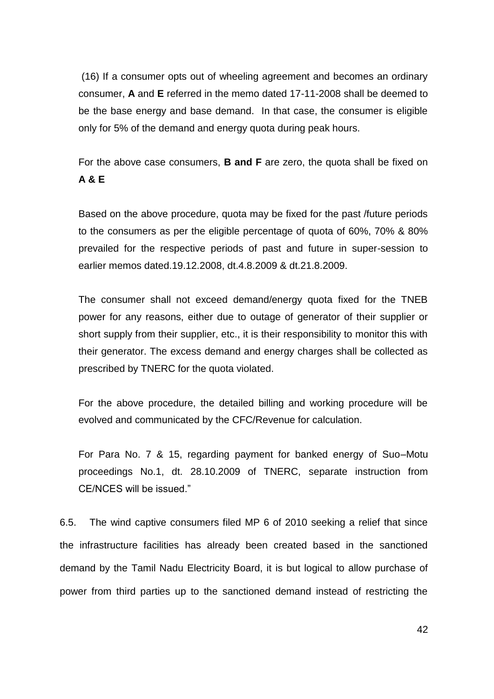(16) If a consumer opts out of wheeling agreement and becomes an ordinary consumer, **A** and **E** referred in the memo dated 17-11-2008 shall be deemed to be the base energy and base demand. In that case, the consumer is eligible only for 5% of the demand and energy quota during peak hours.

For the above case consumers, **B and F** are zero, the quota shall be fixed on **A & E** 

Based on the above procedure, quota may be fixed for the past /future periods to the consumers as per the eligible percentage of quota of 60%, 70% & 80% prevailed for the respective periods of past and future in super-session to earlier memos dated.19.12.2008, dt.4.8.2009 & dt.21.8.2009.

The consumer shall not exceed demand/energy quota fixed for the TNEB power for any reasons, either due to outage of generator of their supplier or short supply from their supplier, etc., it is their responsibility to monitor this with their generator. The excess demand and energy charges shall be collected as prescribed by TNERC for the quota violated.

For the above procedure, the detailed billing and working procedure will be evolved and communicated by the CFC/Revenue for calculation.

For Para No. 7 & 15, regarding payment for banked energy of Suo–Motu proceedings No.1, dt. 28.10.2009 of TNERC, separate instruction from CE/NCES will be issued."

6.5. The wind captive consumers filed MP 6 of 2010 seeking a relief that since the infrastructure facilities has already been created based in the sanctioned demand by the Tamil Nadu Electricity Board, it is but logical to allow purchase of power from third parties up to the sanctioned demand instead of restricting the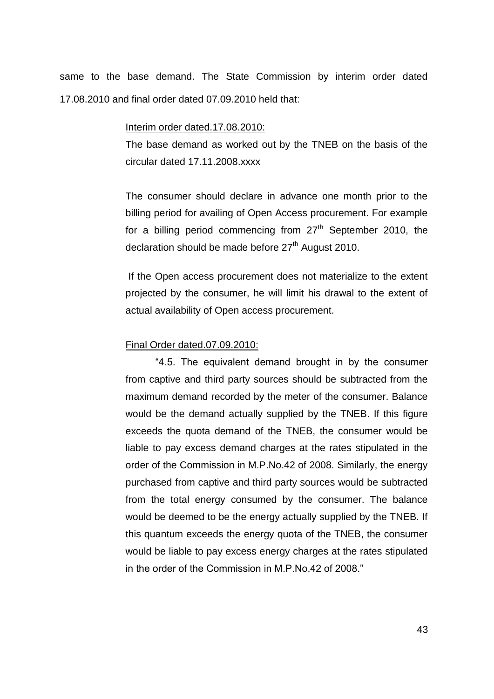same to the base demand. The State Commission by interim order dated 17.08.2010 and final order dated 07.09.2010 held that:

#### Interim order dated.17.08.2010:

The base demand as worked out by the TNEB on the basis of the circular dated 17.11.2008.xxxx

The consumer should declare in advance one month prior to the billing period for availing of Open Access procurement. For example for a billing period commencing from  $27<sup>th</sup>$  September 2010, the declaration should be made before  $27<sup>th</sup>$  August 2010.

If the Open access procurement does not materialize to the extent projected by the consumer, he will limit his drawal to the extent of actual availability of Open access procurement.

### Final Order dated.07.09.2010:

"4.5. The equivalent demand brought in by the consumer from captive and third party sources should be subtracted from the maximum demand recorded by the meter of the consumer. Balance would be the demand actually supplied by the TNEB. If this figure exceeds the quota demand of the TNEB, the consumer would be liable to pay excess demand charges at the rates stipulated in the order of the Commission in M.P.No.42 of 2008. Similarly, the energy purchased from captive and third party sources would be subtracted from the total energy consumed by the consumer. The balance would be deemed to be the energy actually supplied by the TNEB. If this quantum exceeds the energy quota of the TNEB, the consumer would be liable to pay excess energy charges at the rates stipulated in the order of the Commission in M.P.No.42 of 2008."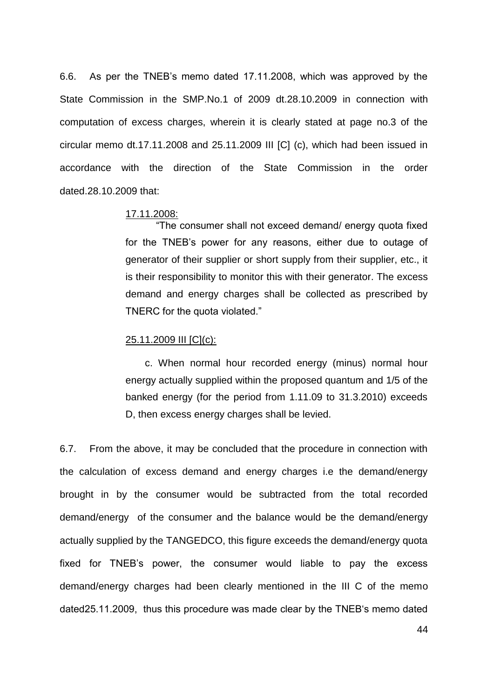6.6. As per the TNEB"s memo dated 17.11.2008, which was approved by the State Commission in the SMP.No.1 of 2009 dt.28.10.2009 in connection with computation of excess charges, wherein it is clearly stated at page no.3 of the circular memo dt.17.11.2008 and 25.11.2009 III [C] (c), which had been issued in accordance with the direction of the State Commission in the order dated.28.10.2009 that:

### 17.11.2008:

 "The consumer shall not exceed demand/ energy quota fixed for the TNEB"s power for any reasons, either due to outage of generator of their supplier or short supply from their supplier, etc., it is their responsibility to monitor this with their generator. The excess demand and energy charges shall be collected as prescribed by TNERC for the quota violated."

#### 25.11.2009 III [C](c):

 c. When normal hour recorded energy (minus) normal hour energy actually supplied within the proposed quantum and 1/5 of the banked energy (for the period from 1.11.09 to 31.3.2010) exceeds D, then excess energy charges shall be levied.

6.7. From the above, it may be concluded that the procedure in connection with the calculation of excess demand and energy charges i.e the demand/energy brought in by the consumer would be subtracted from the total recorded demand/energy of the consumer and the balance would be the demand/energy actually supplied by the TANGEDCO, this figure exceeds the demand/energy quota fixed for TNEB"s power, the consumer would liable to pay the excess demand/energy charges had been clearly mentioned in the III C of the memo dated25.11.2009, thus this procedure was made clear by the TNEB"s memo dated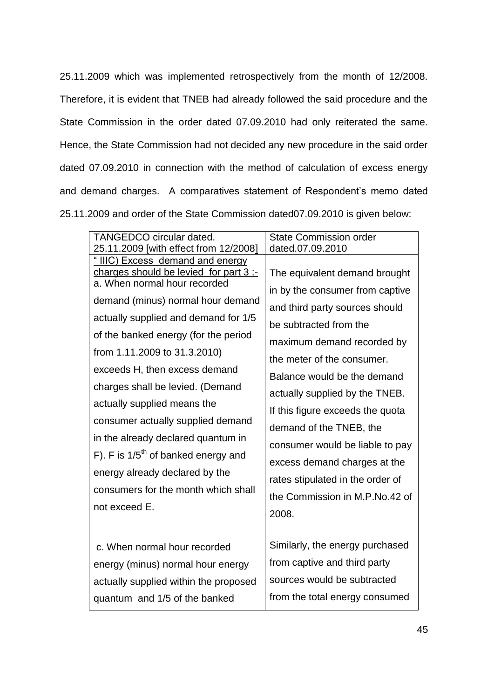25.11.2009 which was implemented retrospectively from the month of 12/2008. Therefore, it is evident that TNEB had already followed the said procedure and the State Commission in the order dated 07.09.2010 had only reiterated the same. Hence, the State Commission had not decided any new procedure in the said order dated 07.09.2010 in connection with the method of calculation of excess energy and demand charges. A comparatives statement of Respondent's memo dated 25.11.2009 and order of the State Commission dated07.09.2010 is given below:

| <b>TANGEDCO circular dated.</b>                                                                                                                                                                                                                                                                                                                                                                                                                                                                                                                                                   | <b>State Commission order</b>                                                                                                                                                                                                                                                                                                                                                                                                                                              |
|-----------------------------------------------------------------------------------------------------------------------------------------------------------------------------------------------------------------------------------------------------------------------------------------------------------------------------------------------------------------------------------------------------------------------------------------------------------------------------------------------------------------------------------------------------------------------------------|----------------------------------------------------------------------------------------------------------------------------------------------------------------------------------------------------------------------------------------------------------------------------------------------------------------------------------------------------------------------------------------------------------------------------------------------------------------------------|
| 25.11.2009 [with effect from 12/2008]                                                                                                                                                                                                                                                                                                                                                                                                                                                                                                                                             | dated.07.09.2010                                                                                                                                                                                                                                                                                                                                                                                                                                                           |
| " IIIC) Excess demand and energy<br>charges should be levied for part 3 :-<br>a. When normal hour recorded<br>demand (minus) normal hour demand<br>actually supplied and demand for 1/5<br>of the banked energy (for the period<br>from 1.11.2009 to 31.3.2010)<br>exceeds H, then excess demand<br>charges shall be levied. (Demand<br>actually supplied means the<br>consumer actually supplied demand<br>in the already declared quantum in<br>F). F is $1/5th$ of banked energy and<br>energy already declared by the<br>consumers for the month which shall<br>not exceed E. | The equivalent demand brought<br>in by the consumer from captive<br>and third party sources should<br>be subtracted from the<br>maximum demand recorded by<br>the meter of the consumer.<br>Balance would be the demand<br>actually supplied by the TNEB.<br>If this figure exceeds the quota<br>demand of the TNEB, the<br>consumer would be liable to pay<br>excess demand charges at the<br>rates stipulated in the order of<br>the Commission in M.P.No.42 of<br>2008. |
| c. When normal hour recorded<br>energy (minus) normal hour energy<br>actually supplied within the proposed<br>quantum and 1/5 of the banked                                                                                                                                                                                                                                                                                                                                                                                                                                       | Similarly, the energy purchased<br>from captive and third party<br>sources would be subtracted<br>from the total energy consumed                                                                                                                                                                                                                                                                                                                                           |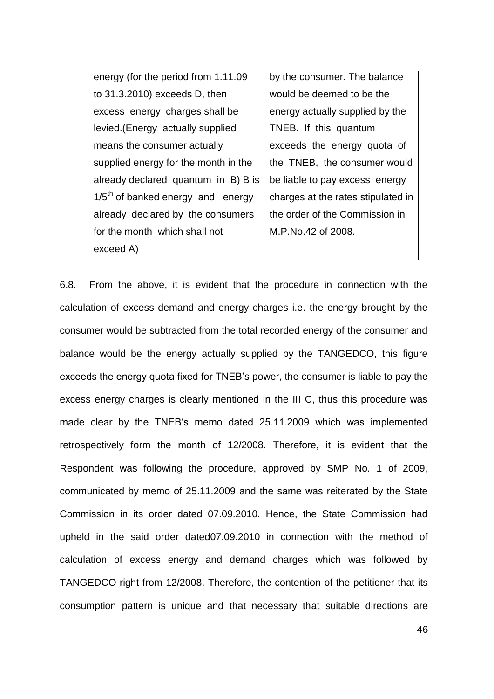| energy (for the period from 1.11.09) | by the consumer. The balance       |
|--------------------------------------|------------------------------------|
| to 31.3.2010) exceeds D, then        | would be deemed to be the          |
| excess energy charges shall be       | energy actually supplied by the    |
| levied. (Energy actually supplied    | TNEB. If this quantum              |
| means the consumer actually          | exceeds the energy quota of        |
| supplied energy for the month in the | the TNEB, the consumer would       |
| already declared quantum in B) B is  | be liable to pay excess energy     |
| $1/5th$ of banked energy and energy  | charges at the rates stipulated in |
| already declared by the consumers    | the order of the Commission in     |
| for the month which shall not        | M.P.No.42 of 2008.                 |
| exceed A)                            |                                    |

6.8. From the above, it is evident that the procedure in connection with the calculation of excess demand and energy charges i.e. the energy brought by the consumer would be subtracted from the total recorded energy of the consumer and balance would be the energy actually supplied by the TANGEDCO, this figure exceeds the energy quota fixed for TNEB"s power, the consumer is liable to pay the excess energy charges is clearly mentioned in the III C, thus this procedure was made clear by the TNEB"s memo dated 25.11.2009 which was implemented retrospectively form the month of 12/2008. Therefore, it is evident that the Respondent was following the procedure, approved by SMP No. 1 of 2009, communicated by memo of 25.11.2009 and the same was reiterated by the State Commission in its order dated 07.09.2010. Hence, the State Commission had upheld in the said order dated07.09.2010 in connection with the method of calculation of excess energy and demand charges which was followed by TANGEDCO right from 12/2008. Therefore, the contention of the petitioner that its consumption pattern is unique and that necessary that suitable directions are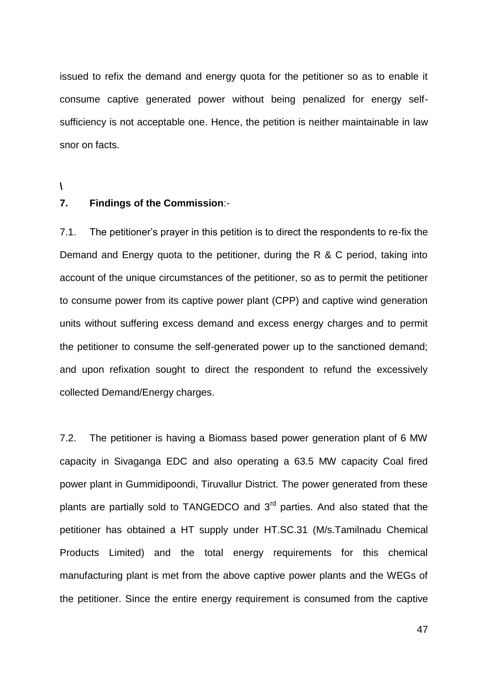issued to refix the demand and energy quota for the petitioner so as to enable it consume captive generated power without being penalized for energy selfsufficiency is not acceptable one. Hence, the petition is neither maintainable in law snor on facts.

**\**

### **7. Findings of the Commission**:-

7.1. The petitioner"s prayer in this petition is to direct the respondents to re-fix the Demand and Energy quota to the petitioner, during the R & C period, taking into account of the unique circumstances of the petitioner, so as to permit the petitioner to consume power from its captive power plant (CPP) and captive wind generation units without suffering excess demand and excess energy charges and to permit the petitioner to consume the self-generated power up to the sanctioned demand; and upon refixation sought to direct the respondent to refund the excessively collected Demand/Energy charges.

7.2. The petitioner is having a Biomass based power generation plant of 6 MW capacity in Sivaganga EDC and also operating a 63.5 MW capacity Coal fired power plant in Gummidipoondi, Tiruvallur District. The power generated from these plants are partially sold to TANGEDCO and 3<sup>rd</sup> parties. And also stated that the petitioner has obtained a HT supply under HT.SC.31 (M/s.Tamilnadu Chemical Products Limited) and the total energy requirements for this chemical manufacturing plant is met from the above captive power plants and the WEGs of the petitioner. Since the entire energy requirement is consumed from the captive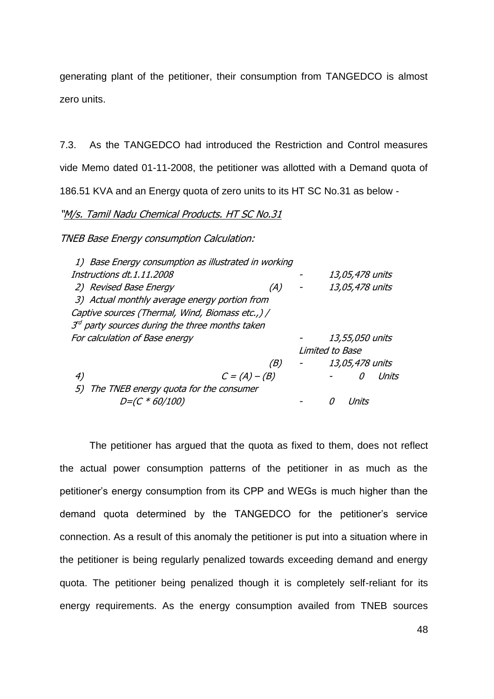generating plant of the petitioner, their consumption from TANGEDCO is almost zero units.

7.3. As the TANGEDCO had introduced the Restriction and Control measures vide Memo dated 01-11-2008, the petitioner was allotted with a Demand quota of 186.51 KVA and an Energy quota of zero units to its HT SC No.31 as below -

# "M/s. Tamil Nadu Chemical Products. HT SC No.31

TNEB Base Energy consumption Calculation:

| 1) Base Energy consumption as illustrated in working           |                 |                 |                 |
|----------------------------------------------------------------|-----------------|-----------------|-----------------|
| Instructions dt.1.11.2008                                      |                 |                 | 13,05,478 units |
| 2) Revised Base Energy                                         | (A)             |                 | 13,05,478 units |
| 3) Actual monthly average energy portion from                  |                 |                 |                 |
| Captive sources (Thermal, Wind, Biomass etc.,) /               |                 |                 |                 |
| $3^{\prime\prime}$ party sources during the three months taken |                 |                 |                 |
| For calculation of Base energy                                 |                 |                 | 13,55,050 units |
|                                                                |                 | Limited to Base |                 |
|                                                                | (B)             |                 | 13,05,478 units |
| 4)                                                             | $C = (A) - (B)$ |                 | Units<br>Ω      |
| The TNEB energy quota for the consumer<br>5)                   |                 |                 |                 |
| <i>D=(C * 60/100)</i>                                          |                 |                 |                 |

The petitioner has argued that the quota as fixed to them, does not reflect the actual power consumption patterns of the petitioner in as much as the petitioner's energy consumption from its CPP and WEGs is much higher than the demand quota determined by the TANGEDCO for the petitioner's service connection. As a result of this anomaly the petitioner is put into a situation where in the petitioner is being regularly penalized towards exceeding demand and energy quota. The petitioner being penalized though it is completely self-reliant for its energy requirements. As the energy consumption availed from TNEB sources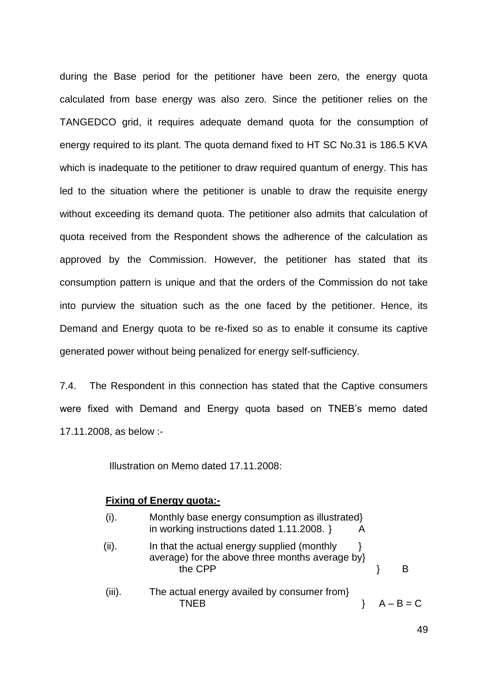during the Base period for the petitioner have been zero, the energy quota calculated from base energy was also zero. Since the petitioner relies on the TANGEDCO grid, it requires adequate demand quota for the consumption of energy required to its plant. The quota demand fixed to HT SC No.31 is 186.5 KVA which is inadequate to the petitioner to draw required quantum of energy. This has led to the situation where the petitioner is unable to draw the requisite energy without exceeding its demand quota. The petitioner also admits that calculation of quota received from the Respondent shows the adherence of the calculation as approved by the Commission. However, the petitioner has stated that its consumption pattern is unique and that the orders of the Commission do not take into purview the situation such as the one faced by the petitioner. Hence, its Demand and Energy quota to be re-fixed so as to enable it consume its captive generated power without being penalized for energy self-sufficiency.

7.4. The Respondent in this connection has stated that the Captive consumers were fixed with Demand and Energy quota based on TNEB"s memo dated 17.11.2008, as below :-

Illustration on Memo dated 17.11.2008:

### **Fixing of Energy quota:-**

| (i).   | Monthly base energy consumption as illustrated}<br>in working instructions dated 1.11.2008. }             |  |             |
|--------|-----------------------------------------------------------------------------------------------------------|--|-------------|
| (ii).  | In that the actual energy supplied (monthly<br>average) for the above three months average by}<br>the CPP |  |             |
| (iii). | The actual energy availed by consumer from                                                                |  | $A - B = C$ |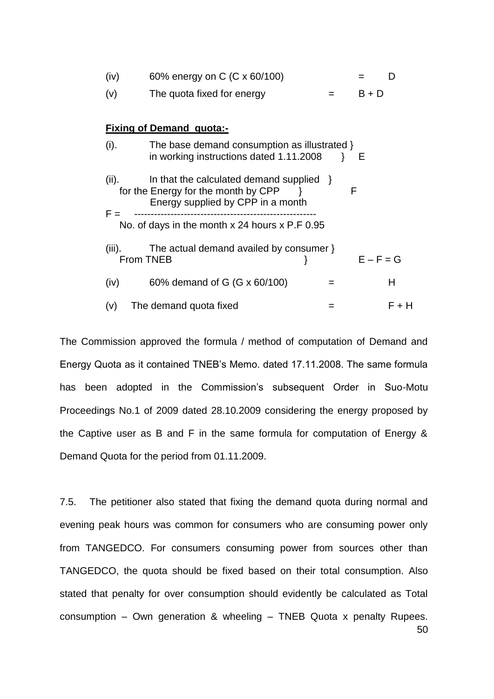| (iv)           | 60% energy on C (C x 60/100)                                                                                            |  |             |       |  |  |
|----------------|-------------------------------------------------------------------------------------------------------------------------|--|-------------|-------|--|--|
| (v)            | The quota fixed for energy                                                                                              |  | $B + D$     |       |  |  |
|                |                                                                                                                         |  |             |       |  |  |
|                | <b>Fixing of Demand quota:-</b>                                                                                         |  |             |       |  |  |
| (i).           | The base demand consumption as illustrated }<br>in working instructions dated 1.11.2008                                 |  | - E         |       |  |  |
| (ii).<br>$F =$ | In that the calculated demand supplied $\}$<br>for the Energy for the month by CPP<br>Energy supplied by CPP in a month |  | F           |       |  |  |
|                | No. of days in the month x 24 hours x P.F 0.95                                                                          |  |             |       |  |  |
| (iii).         | The actual demand availed by consumer }<br>From TNEB                                                                    |  | $E - F = G$ |       |  |  |
| (iv)           | 60% demand of G (G x 60/100)                                                                                            |  |             | Н     |  |  |
| (v)            | The demand quota fixed                                                                                                  |  |             | F + H |  |  |

The Commission approved the formula / method of computation of Demand and Energy Quota as it contained TNEB"s Memo. dated 17.11.2008. The same formula has been adopted in the Commission's subsequent Order in Suo-Motu Proceedings No.1 of 2009 dated 28.10.2009 considering the energy proposed by the Captive user as B and F in the same formula for computation of Energy & Demand Quota for the period from 01.11.2009.

50 7.5. The petitioner also stated that fixing the demand quota during normal and evening peak hours was common for consumers who are consuming power only from TANGEDCO. For consumers consuming power from sources other than TANGEDCO, the quota should be fixed based on their total consumption. Also stated that penalty for over consumption should evidently be calculated as Total consumption – Own generation & wheeling – TNEB Quota x penalty Rupees.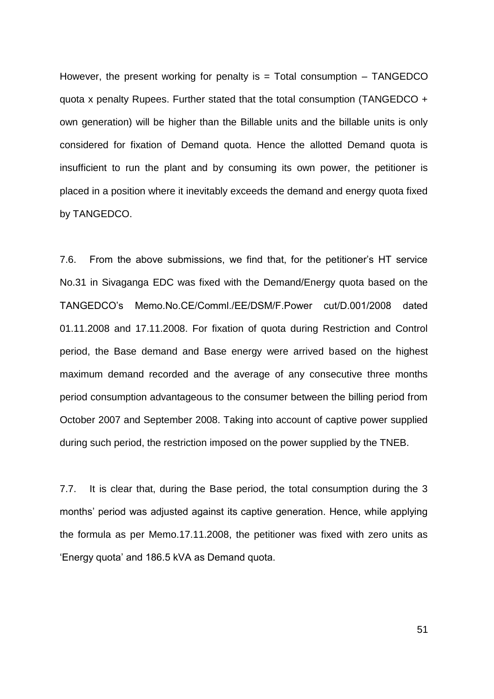However, the present working for penalty is  $=$  Total consumption  $-$  TANGEDCO quota x penalty Rupees. Further stated that the total consumption (TANGEDCO + own generation) will be higher than the Billable units and the billable units is only considered for fixation of Demand quota. Hence the allotted Demand quota is insufficient to run the plant and by consuming its own power, the petitioner is placed in a position where it inevitably exceeds the demand and energy quota fixed by TANGEDCO.

7.6. From the above submissions, we find that, for the petitioner"s HT service No.31 in Sivaganga EDC was fixed with the Demand/Energy quota based on the TANGEDCO"s Memo.No.CE/Comml./EE/DSM/F.Power cut/D.001/2008 dated 01.11.2008 and 17.11.2008. For fixation of quota during Restriction and Control period, the Base demand and Base energy were arrived based on the highest maximum demand recorded and the average of any consecutive three months period consumption advantageous to the consumer between the billing period from October 2007 and September 2008. Taking into account of captive power supplied during such period, the restriction imposed on the power supplied by the TNEB.

7.7. It is clear that, during the Base period, the total consumption during the 3 months" period was adjusted against its captive generation. Hence, while applying the formula as per Memo.17.11.2008, the petitioner was fixed with zero units as "Energy quota" and 186.5 kVA as Demand quota.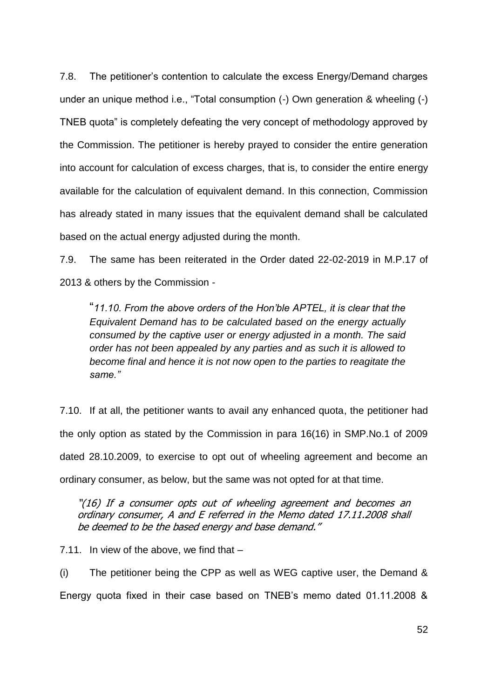7.8. The petitioner"s contention to calculate the excess Energy/Demand charges under an unique method i.e., "Total consumption (-) Own generation & wheeling (-) TNEB quota" is completely defeating the very concept of methodology approved by the Commission. The petitioner is hereby prayed to consider the entire generation into account for calculation of excess charges, that is, to consider the entire energy available for the calculation of equivalent demand. In this connection, Commission has already stated in many issues that the equivalent demand shall be calculated based on the actual energy adjusted during the month.

7.9. The same has been reiterated in the Order dated 22-02-2019 in M.P.17 of 2013 & others by the Commission -

"*11.10. From the above orders of the Hon'ble APTEL, it is clear that the Equivalent Demand has to be calculated based on the energy actually consumed by the captive user or energy adjusted in a month. The said order has not been appealed by any parties and as such it is allowed to become final and hence it is not now open to the parties to reagitate the same."*

7.10. If at all, the petitioner wants to avail any enhanced quota, the petitioner had the only option as stated by the Commission in para 16(16) in SMP.No.1 of 2009 dated 28.10.2009, to exercise to opt out of wheeling agreement and become an ordinary consumer, as below, but the same was not opted for at that time.

"(16) If a consumer opts out of wheeling agreement and becomes an ordinary consumer, A and E referred in the Memo dated 17.11.2008 shall be deemed to be the based energy and base demand."

7.11. In view of the above, we find that –

(i) The petitioner being the CPP as well as WEG captive user, the Demand & Energy quota fixed in their case based on TNEB"s memo dated 01.11.2008 &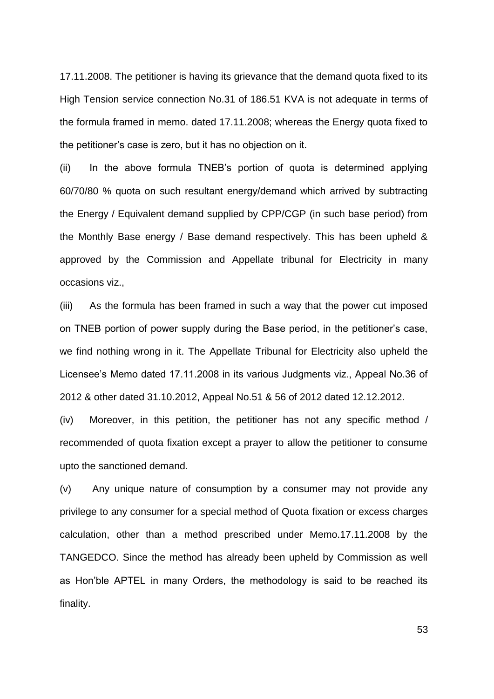17.11.2008. The petitioner is having its grievance that the demand quota fixed to its High Tension service connection No.31 of 186.51 KVA is not adequate in terms of the formula framed in memo. dated 17.11.2008; whereas the Energy quota fixed to the petitioner"s case is zero, but it has no objection on it.

(ii) In the above formula TNEB"s portion of quota is determined applying 60/70/80 % quota on such resultant energy/demand which arrived by subtracting the Energy / Equivalent demand supplied by CPP/CGP (in such base period) from the Monthly Base energy / Base demand respectively. This has been upheld & approved by the Commission and Appellate tribunal for Electricity in many occasions viz.,

(iii) As the formula has been framed in such a way that the power cut imposed on TNEB portion of power supply during the Base period, in the petitioner"s case, we find nothing wrong in it. The Appellate Tribunal for Electricity also upheld the Licensee"s Memo dated 17.11.2008 in its various Judgments viz., Appeal No.36 of 2012 & other dated 31.10.2012, Appeal No.51 & 56 of 2012 dated 12.12.2012.

(iv) Moreover, in this petition, the petitioner has not any specific method / recommended of quota fixation except a prayer to allow the petitioner to consume upto the sanctioned demand.

(v) Any unique nature of consumption by a consumer may not provide any privilege to any consumer for a special method of Quota fixation or excess charges calculation, other than a method prescribed under Memo.17.11.2008 by the TANGEDCO. Since the method has already been upheld by Commission as well as Hon"ble APTEL in many Orders, the methodology is said to be reached its finality.